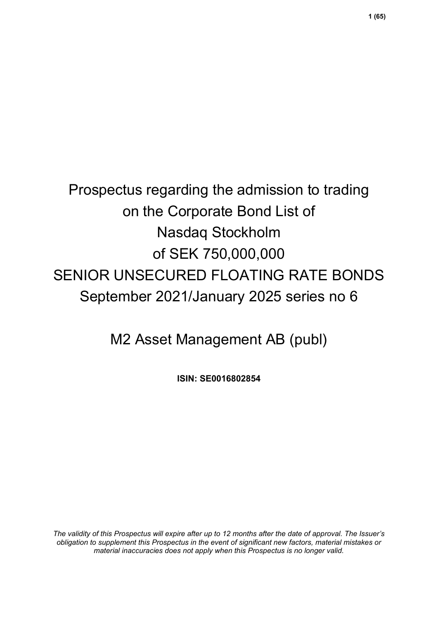# Prospectus regarding the admission to trading on the Corporate Bond List of Nasdaq Stockholm of SEK 750,000,000 SENIOR UNSECURED FLOATING RATE BONDS September 2021/January 2025 series no 6

M2 Asset Management AB (publ)

**ISIN: SE0016802854**

*The validity of this Prospectus will expire after up to 12 months after the date of approval. The Issuer's obligation to supplement this Prospectus in the event of significant new factors, material mistakes or material inaccuracies does not apply when this Prospectus is no longer valid.*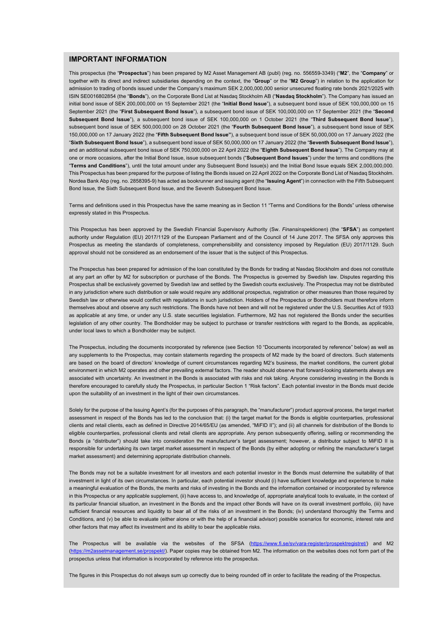### **IMPORTANT INFORMATION**

This prospectus (the "**Prospectus**") has been prepared by M2 Asset Management AB (publ) (reg. no. 556559-3349) ("**M2**", the "**Company**" or together with its direct and indirect subsidiaries depending on the context, the "**Group**" or the "**M2 Group**") in relation to the application for admission to trading of bonds issued under the Company's maximum SEK 2,000,000,000 senior unsecured floating rate bonds 2021/2025 with ISIN SE0016802854 (the "**Bonds**"), on the Corporate Bond List at Nasdaq Stockholm AB ("**Nasdaq Stockholm**"). The Company has issued an initial bond issue of SEK 200,000,000 on 15 September 2021 (the "**Initial Bond Issue**"), a subsequent bond issue of SEK 100,000,000 on 15 September 2021 (the "**First Subsequent Bond Issue**"), a subsequent bond issue of SEK 100,000,000 on 17 September 2021 (the "**Second Subsequent Bond Issue**"), a subsequent bond issue of SEK 100,000,000 on 1 October 2021 (the "**Third Subsequent Bond Issue**"), subsequent bond issue of SEK 500,000,000 on 28 October 2021 (the "**Fourth Subsequent Bond Issue**"), a subsequent bond issue of SEK 150,000,000 on 17 January 2022 (the "**Fifth Subsequent Bond Issue"**), a subsequent bond issue of SEK 50,000,000 on 17 January 2022 (the "**Sixth Subsequent Bond Issue**"), a subsequent bond issue of SEK 50,000,000 on 17 January 2022 (the "**Seventh Subsequent Bond Issue**"), and an additional subsequent bond issue of SEK 750,000,000 on 22 April 2022 (the "**Eighth Subsequent Bond Issue**"). The Company may at one or more occasions, after the Initial Bond Issue, issue subsequent bonds ("**Subsequent Bond Issues**") under the terms and conditions (the "**Terms and Conditions**"), until the total amount under any Subsequent Bond Issue(s) and the Initial Bond Issue equals SEK 2,000,000,000. This Prospectus has been prepared for the purpose of listing the Bonds issued on 22 April 2022 on the Corporate Bond List of Nasdaq Stockholm. Nordea Bank Abp (reg. no. 2858395-9) has acted as bookrunner and issuing agent (the "**Issuing Agent**") in connection with the Fifth Subsequent Bond Issue, the Sixth Subsequent Bond Issue, and the Seventh Subsequent Bond Issue.

Terms and definitions used in this Prospectus have the same meaning as in Section 11 "Terms and Conditions for the Bonds" unless otherwise expressly stated in this Prospectus.

This Prospectus has been approved by the Swedish Financial Supervisory Authority (Sw. *Finansinspektionen*) (the "**SFSA**") as competent authority under Regulation (EU) 2017/1129 of the European Parliament and of the Council of 14 June 2017. The SFSA only approves this Prospectus as meeting the standards of completeness, comprehensibility and consistency imposed by Regulation (EU) 2017/1129. Such approval should not be considered as an endorsement of the issuer that is the subject of this Prospectus.

The Prospectus has been prepared for admission of the loan constituted by the Bonds for trading at Nasdaq Stockholm and does not constitute at any part an offer by M2 for subscription or purchase of the Bonds. The Prospectus is governed by Swedish law. Disputes regarding this Prospectus shall be exclusively governed by Swedish law and settled by the Swedish courts exclusively. The Prospectus may not be distributed in any jurisdiction where such distribution or sale would require any additional prospectus, registration or other measures than those required by Swedish law or otherwise would conflict with regulations in such jurisdiction. Holders of the Prospectus or Bondholders must therefore inform themselves about and observe any such restrictions. The Bonds have not been and will not be registered under the U.S. Securities Act of 1933 as applicable at any time, or under any U.S. state securities legislation. Furthermore, M2 has not registered the Bonds under the securities legislation of any other country. The Bondholder may be subject to purchase or transfer restrictions with regard to the Bonds, as applicable, under local laws to which a Bondholder may be subject.

The Prospectus, including the documents incorporated by reference (see Section 10 "Documents incorporated by reference" below) as well as any supplements to the Prospectus, may contain statements regarding the prospects of M2 made by the board of directors. Such statements are based on the board of directors' knowledge of current circumstances regarding M2's business, the market conditions, the current global environment in which M2 operates and other prevailing external factors. The reader should observe that forward-looking statements always are associated with uncertainty. An investment in the Bonds is associated with risks and risk taking. Anyone considering investing in the Bonds is therefore encouraged to carefully study the Prospectus, in particular Section 1 "Risk factors". Each potential investor in the Bonds must decide upon the suitability of an investment in the light of their own circumstances.

Solely for the purpose of the Issuing Agent's (for the purposes of this paragraph, the "manufacturer") product approval process, the target market assessment in respect of the Bonds has led to the conclusion that: (i) the target market for the Bonds is eligible counterparties, professional clients and retail clients, each as defined in Directive 2014/65/EU (as amended, "MiFID II"); and (ii) all channels for distribution of the Bonds to eligible counterparties, professional clients and retail clients are appropriate. Any person subsequently offering, selling or recommending the Bonds (a "distributer") should take into consideration the manufacturer's target assessment; however, a distributor subject to MiFID II is responsible for undertaking its own target market assessment in respect of the Bonds (by either adopting or refining the manufacturer's target market assessment) and determining appropriate distribution channels.

The Bonds may not be a suitable investment for all investors and each potential investor in the Bonds must determine the suitability of that investment in light of its own circumstances. In particular, each potential investor should (i) have sufficient knowledge and experience to make a meaningful evaluation of the Bonds, the merits and risks of investing in the Bonds and the information contained or incorporated by reference in this Prospectus or any applicable supplement, (ii) have access to, and knowledge of, appropriate analytical tools to evaluate, in the context of its particular financial situation, an investment in the Bonds and the impact other Bonds will have on its overall investment portfolio, (iii) have sufficient financial resources and liquidity to bear all of the risks of an investment in the Bonds; (iv) understand thoroughly the Terms and Conditions, and (v) be able to evaluate (either alone or with the help of a financial advisor) possible scenarios for economic, interest rate and other factors that may affect its investment and its ability to bear the applicable risks.

The Prospectus will be available via the websites of the SFSA [\(https://www.fi.se/sv/vara-register/prospektregistret/\)](https://www.fi.se/sv/vara-register/prospektregistret/) and M2 [\(https://m2assetmanagement.se/prospekt/\).](https://m2assetmanagement.se/prospekt/) Paper copies may be obtained from M2. The information on the websites does not form part of the prospectus unless that information is incorporated by reference into the prospectus.

The figures in this Prospectus do not always sum up correctly due to being rounded off in order to facilitate the reading of the Prospectus.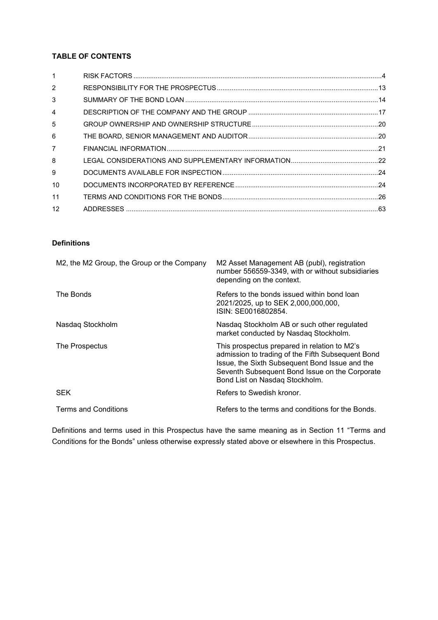### **TABLE OF CONTENTS**

### **Definitions**

| M2, the M2 Group, the Group or the Company | M2 Asset Management AB (publ), registration<br>number 556559-3349, with or without subsidiaries<br>depending on the context.                                                                                                            |
|--------------------------------------------|-----------------------------------------------------------------------------------------------------------------------------------------------------------------------------------------------------------------------------------------|
| The Bonds                                  | Refers to the bonds issued within bond loan<br>2021/2025, up to SEK 2,000,000,000,<br>ISIN: SE0016802854.                                                                                                                               |
| Nasdaq Stockholm                           | Nasdag Stockholm AB or such other regulated<br>market conducted by Nasdaq Stockholm.                                                                                                                                                    |
| The Prospectus                             | This prospectus prepared in relation to M2's<br>admission to trading of the Fifth Subsequent Bond<br>Issue, the Sixth Subsequent Bond Issue and the<br>Seventh Subsequent Bond Issue on the Corporate<br>Bond List on Nasdag Stockholm. |
| <b>SEK</b>                                 | Refers to Swedish kronor.                                                                                                                                                                                                               |
| <b>Terms and Conditions</b>                | Refers to the terms and conditions for the Bonds.                                                                                                                                                                                       |

Definitions and terms used in this Prospectus have the same meaning as in Section 11 "Terms and Conditions for the Bonds" unless otherwise expressly stated above or elsewhere in this Prospectus.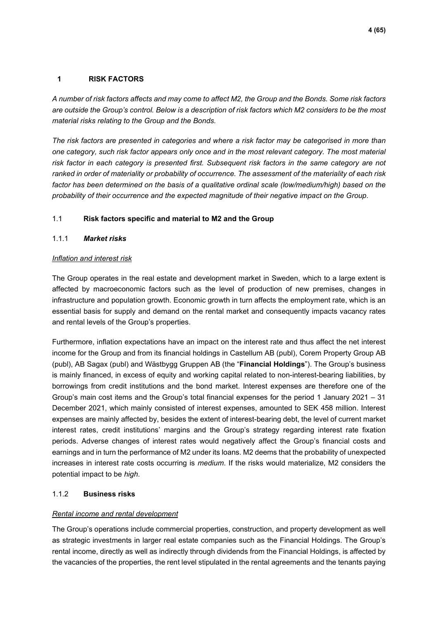### <span id="page-3-0"></span>**1 RISK FACTORS**

*A number of risk factors affects and may come to affect M2, the Group and the Bonds. Some risk factors are outside the Group's control. Below is a description of risk factors which M2 considers to be the most material risks relating to the Group and the Bonds.* 

*The risk factors are presented in categories and where a risk factor may be categorised in more than one category, such risk factor appears only once and in the most relevant category. The most material risk factor in each category is presented first. Subsequent risk factors in the same category are not ranked in order of materiality or probability of occurrence. The assessment of the materiality of each risk*  factor has been determined on the basis of a qualitative ordinal scale (low/medium/high) based on the *probability of their occurrence and the expected magnitude of their negative impact on the Group.* 

### 1.1 **Risk factors specific and material to M2 and the Group**

### 1.1.1 *Market risks*

### *Inflation and interest risk*

The Group operates in the real estate and development market in Sweden, which to a large extent is affected by macroeconomic factors such as the level of production of new premises, changes in infrastructure and population growth. Economic growth in turn affects the employment rate, which is an essential basis for supply and demand on the rental market and consequently impacts vacancy rates and rental levels of the Group's properties.

Furthermore, inflation expectations have an impact on the interest rate and thus affect the net interest income for the Group and from its financial holdings in Castellum AB (publ), Corem Property Group AB (publ), AB Sagax (publ) and Wästbygg Gruppen AB (the "**Financial Holdings**"). The Group's business is mainly financed, in excess of equity and working capital related to non-interest-bearing liabilities, by borrowings from credit institutions and the bond market. Interest expenses are therefore one of the Group's main cost items and the Group's total financial expenses for the period 1 January 2021 – 31 December 2021, which mainly consisted of interest expenses, amounted to SEK 458 million. Interest expenses are mainly affected by, besides the extent of interest-bearing debt, the level of current market interest rates, credit institutions' margins and the Group's strategy regarding interest rate fixation periods. Adverse changes of interest rates would negatively affect the Group's financial costs and earnings and in turn the performance of M2 under its loans. M2 deems that the probability of unexpected increases in interest rate costs occurring is *medium*. If the risks would materialize, M2 considers the potential impact to be *high*.

### 1.1.2 **Business risks**

### *Rental income and rental development*

The Group's operations include commercial properties, construction, and property development as well as strategic investments in larger real estate companies such as the Financial Holdings. The Group's rental income, directly as well as indirectly through dividends from the Financial Holdings, is affected by the vacancies of the properties, the rent level stipulated in the rental agreements and the tenants paying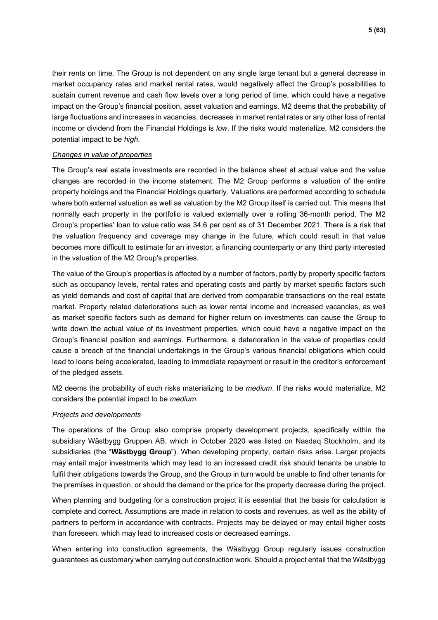their rents on time. The Group is not dependent on any single large tenant but a general decrease in market occupancy rates and market rental rates, would negatively affect the Group's possibilities to sustain current revenue and cash flow levels over a long period of time, which could have a negative impact on the Group's financial position, asset valuation and earnings. M2 deems that the probability of large fluctuations and increases in vacancies, decreases in market rental rates or any other loss of rental income or dividend from the Financial Holdings is *low*. If the risks would materialize, M2 considers the potential impact to be *high*.

### *Changes in value of properties*

The Group's real estate investments are recorded in the balance sheet at actual value and the value changes are recorded in the income statement. The M2 Group performs a valuation of the entire property holdings and the Financial Holdings quarterly. Valuations are performed according to schedule where both external valuation as well as valuation by the M2 Group itself is carried out. This means that normally each property in the portfolio is valued externally over a rolling 36-month period. The M2 Group's properties' loan to value ratio was 34.6 per cent as of 31 December 2021. There is a risk that the valuation frequency and coverage may change in the future, which could result in that value becomes more difficult to estimate for an investor, a financing counterparty or any third party interested in the valuation of the M2 Group's properties.

The value of the Group's properties is affected by a number of factors, partly by property specific factors such as occupancy levels, rental rates and operating costs and partly by market specific factors such as yield demands and cost of capital that are derived from comparable transactions on the real estate market. Property related deteriorations such as lower rental income and increased vacancies, as well as market specific factors such as demand for higher return on investments can cause the Group to write down the actual value of its investment properties, which could have a negative impact on the Group's financial position and earnings. Furthermore, a deterioration in the value of properties could cause a breach of the financial undertakings in the Group's various financial obligations which could lead to loans being accelerated, leading to immediate repayment or result in the creditor's enforcement of the pledged assets.

M2 deems the probability of such risks materializing to be *medium*. If the risks would materialize, M2 considers the potential impact to be *medium*.

### *Projects and developments*

The operations of the Group also comprise property development projects, specifically within the subsidiary Wästbygg Gruppen AB, which in October 2020 was listed on Nasdaq Stockholm, and its subsidiaries (the "**Wästbygg Group**"). When developing property, certain risks arise. Larger projects may entail major investments which may lead to an increased credit risk should tenants be unable to fulfil their obligations towards the Group, and the Group in turn would be unable to find other tenants for the premises in question, or should the demand or the price for the property decrease during the project.

When planning and budgeting for a construction project it is essential that the basis for calculation is complete and correct. Assumptions are made in relation to costs and revenues, as well as the ability of partners to perform in accordance with contracts. Projects may be delayed or may entail higher costs than foreseen, which may lead to increased costs or decreased earnings.

When entering into construction agreements, the Wästbygg Group regularly issues construction guarantees as customary when carrying out construction work. Should a project entail that the Wästbygg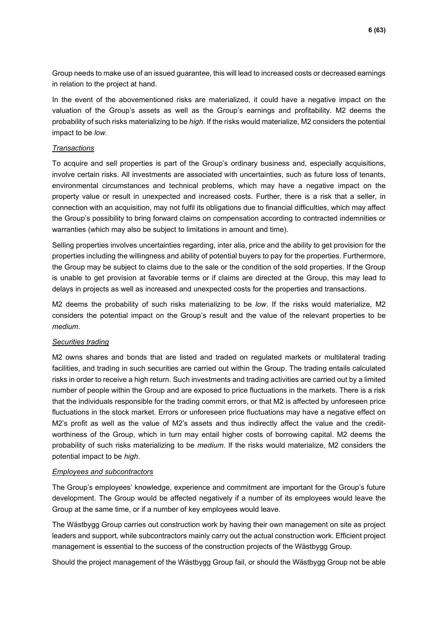Group needs to make use of an issued guarantee, this will lead to increased costs or decreased earnings in relation to the project at hand.

In the event of the abovementioned risks are materialized, it could have a negative impact on the valuation of the Group's assets as well as the Group's earnings and profitability. M2 deems the probability of such risks materializing to be *high*. If the risks would materialize, M2 considers the potential impact to be *low*.

### *Transactions*

To acquire and sell properties is part of the Group's ordinary business and, especially acquisitions, involve certain risks. All investments are associated with uncertainties, such as future loss of tenants, environmental circumstances and technical problems, which may have a negative impact on the property value or result in unexpected and increased costs. Further, there is a risk that a seller, in connection with an acquisition, may not fulfil its obligations due to financial difficulties, which may affect the Group's possibility to bring forward claims on compensation according to contracted indemnities or warranties (which may also be subject to limitations in amount and time).

Selling properties involves uncertainties regarding, inter alia, price and the ability to get provision for the properties including the willingness and ability of potential buyers to pay for the properties. Furthermore, the Group may be subject to claims due to the sale or the condition of the sold properties. If the Group is unable to get provision at favorable terms or if claims are directed at the Group, this may lead to delays in projects as well as increased and unexpected costs for the properties and transactions.

M2 deems the probability of such risks materializing to be *low*. If the risks would materialize, M2 considers the potential impact on the Group's result and the value of the relevant properties to be *medium*.

### *Securities trading*

M2 owns shares and bonds that are listed and traded on regulated markets or multilateral trading facilities, and trading in such securities are carried out within the Group. The trading entails calculated risks in order to receive a high return. Such investments and trading activities are carried out by a limited number of people within the Group and are exposed to price fluctuations in the markets. There is a risk that the individuals responsible for the trading commit errors, or that M2 is affected by unforeseen price fluctuations in the stock market. Errors or unforeseen price fluctuations may have a negative effect on M2's profit as well as the value of M2's assets and thus indirectly affect the value and the creditworthiness of the Group, which in turn may entail higher costs of borrowing capital. M2 deems the probability of such risks materializing to be *medium*. If the risks would materialize, M2 considers the potential impact to be *high*.

### *Employees and subcontractors*

The Group's employees' knowledge, experience and commitment are important for the Group's future development. The Group would be affected negatively if a number of its employees would leave the Group at the same time, or if a number of key employees would leave.

The Wästbygg Group carries out construction work by having their own management on site as project leaders and support, while subcontractors mainly carry out the actual construction work. Efficient project management is essential to the success of the construction projects of the Wästbygg Group.

Should the project management of the Wästbygg Group fail, or should the Wästbygg Group not be able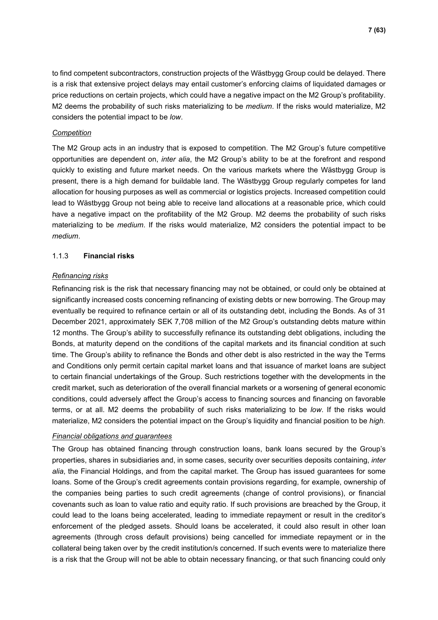to find competent subcontractors, construction projects of the Wästbygg Group could be delayed. There is a risk that extensive project delays may entail customer's enforcing claims of liquidated damages or price reductions on certain projects, which could have a negative impact on the M2 Group's profitability. M2 deems the probability of such risks materializing to be *medium*. If the risks would materialize, M2 considers the potential impact to be *low*.

### *Competition*

The M2 Group acts in an industry that is exposed to competition. The M2 Group's future competitive opportunities are dependent on, *inter alia*, the M2 Group's ability to be at the forefront and respond quickly to existing and future market needs. On the various markets where the Wästbygg Group is present, there is a high demand for buildable land. The Wästbygg Group regularly competes for land allocation for housing purposes as well as commercial or logistics projects. Increased competition could lead to Wästbygg Group not being able to receive land allocations at a reasonable price, which could have a negative impact on the profitability of the M2 Group. M2 deems the probability of such risks materializing to be *medium*. If the risks would materialize, M2 considers the potential impact to be *medium*.

### 1.1.3 **Financial risks**

### *Refinancing risks*

Refinancing risk is the risk that necessary financing may not be obtained, or could only be obtained at significantly increased costs concerning refinancing of existing debts or new borrowing. The Group may eventually be required to refinance certain or all of its outstanding debt, including the Bonds. As of 31 December 2021, approximately SEK 7,708 million of the M2 Group's outstanding debts mature within 12 months. The Group's ability to successfully refinance its outstanding debt obligations, including the Bonds, at maturity depend on the conditions of the capital markets and its financial condition at such time. The Group's ability to refinance the Bonds and other debt is also restricted in the way the Terms and Conditions only permit certain capital market loans and that issuance of market loans are subject to certain financial undertakings of the Group. Such restrictions together with the developments in the credit market, such as deterioration of the overall financial markets or a worsening of general economic conditions, could adversely affect the Group's access to financing sources and financing on favorable terms, or at all. M2 deems the probability of such risks materializing to be *low*. If the risks would materialize, M2 considers the potential impact on the Group's liquidity and financial position to be *high.* 

#### *Financial obligations and guarantees*

The Group has obtained financing through construction loans, bank loans secured by the Group's properties, shares in subsidiaries and, in some cases, security over securities deposits containing, *inter alia*, the Financial Holdings, and from the capital market. The Group has issued guarantees for some loans. Some of the Group's credit agreements contain provisions regarding, for example, ownership of the companies being parties to such credit agreements (change of control provisions), or financial covenants such as loan to value ratio and equity ratio. If such provisions are breached by the Group, it could lead to the loans being accelerated, leading to immediate repayment or result in the creditor's enforcement of the pledged assets. Should loans be accelerated, it could also result in other loan agreements (through cross default provisions) being cancelled for immediate repayment or in the collateral being taken over by the credit institution/s concerned. If such events were to materialize there is a risk that the Group will not be able to obtain necessary financing, or that such financing could only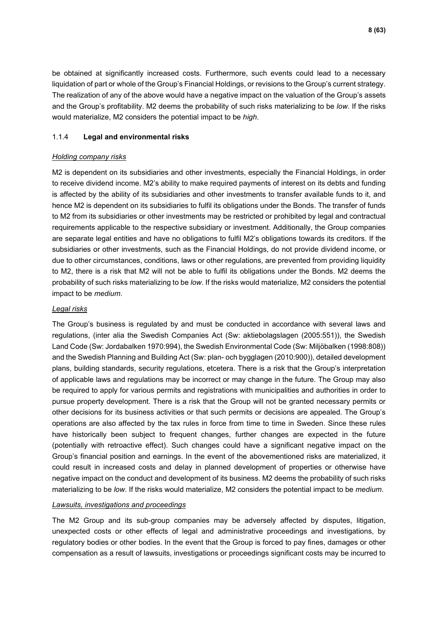be obtained at significantly increased costs. Furthermore, such events could lead to a necessary liquidation of part or whole of the Group's Financial Holdings, or revisions to the Group's current strategy. The realization of any of the above would have a negative impact on the valuation of the Group's assets and the Group's profitability. M2 deems the probability of such risks materializing to be *low*. If the risks would materialize, M2 considers the potential impact to be *high*.

### 1.1.4 **Legal and environmental risks**

### *Holding company risks*

M2 is dependent on its subsidiaries and other investments, especially the Financial Holdings, in order to receive dividend income. M2's ability to make required payments of interest on its debts and funding is affected by the ability of its subsidiaries and other investments to transfer available funds to it, and hence M2 is dependent on its subsidiaries to fulfil its obligations under the Bonds. The transfer of funds to M2 from its subsidiaries or other investments may be restricted or prohibited by legal and contractual requirements applicable to the respective subsidiary or investment. Additionally, the Group companies are separate legal entities and have no obligations to fulfil M2's obligations towards its creditors. If the subsidiaries or other investments, such as the Financial Holdings, do not provide dividend income, or due to other circumstances, conditions, laws or other regulations, are prevented from providing liquidity to M2, there is a risk that M2 will not be able to fulfil its obligations under the Bonds. M2 deems the probability of such risks materializing to be *low*. If the risks would materialize, M2 considers the potential impact to be *medium*.

### *Legal risks*

The Group's business is regulated by and must be conducted in accordance with several laws and regulations, (inter alia the Swedish Companies Act (Sw: aktiebolagslagen (2005:551)), the Swedish Land Code (Sw: Jordabalken 1970:994), the Swedish Environmental Code (Sw: Miljöbalken (1998:808)) and the Swedish Planning and Building Act (Sw: plan- och bygglagen (2010:900)), detailed development plans, building standards, security regulations, etcetera. There is a risk that the Group's interpretation of applicable laws and regulations may be incorrect or may change in the future. The Group may also be required to apply for various permits and registrations with municipalities and authorities in order to pursue property development. There is a risk that the Group will not be granted necessary permits or other decisions for its business activities or that such permits or decisions are appealed. The Group's operations are also affected by the tax rules in force from time to time in Sweden. Since these rules have historically been subject to frequent changes, further changes are expected in the future (potentially with retroactive effect). Such changes could have a significant negative impact on the Group's financial position and earnings. In the event of the abovementioned risks are materialized, it could result in increased costs and delay in planned development of properties or otherwise have negative impact on the conduct and development of its business. M2 deems the probability of such risks materializing to be *low*. If the risks would materialize, M2 considers the potential impact to be *medium*.

### *Lawsuits, investigations and proceedings*

The M2 Group and its sub-group companies may be adversely affected by disputes, litigation, unexpected costs or other effects of legal and administrative proceedings and investigations, by regulatory bodies or other bodies. In the event that the Group is forced to pay fines, damages or other compensation as a result of lawsuits, investigations or proceedings significant costs may be incurred to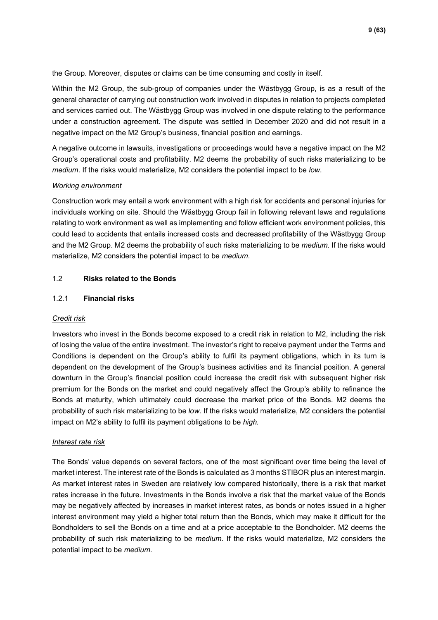the Group. Moreover, disputes or claims can be time consuming and costly in itself.

Within the M2 Group, the sub-group of companies under the Wästbygg Group, is as a result of the general character of carrying out construction work involved in disputes in relation to projects completed and services carried out. The Wästbygg Group was involved in one dispute relating to the performance under a construction agreement. The dispute was settled in December 2020 and did not result in a negative impact on the M2 Group's business, financial position and earnings.

A negative outcome in lawsuits, investigations or proceedings would have a negative impact on the M2 Group's operational costs and profitability. M2 deems the probability of such risks materializing to be *medium*. If the risks would materialize, M2 considers the potential impact to be *low*.

### *Working environment*

Construction work may entail a work environment with a high risk for accidents and personal injuries for individuals working on site. Should the Wästbygg Group fail in following relevant laws and regulations relating to work environment as well as implementing and follow efficient work environment policies, this could lead to accidents that entails increased costs and decreased profitability of the Wästbygg Group and the M2 Group. M2 deems the probability of such risks materializing to be *medium*. If the risks would materialize, M2 considers the potential impact to be *medium*.

### 1.2 **Risks related to the Bonds**

### 1.2.1 **Financial risks**

### *Credit risk*

Investors who invest in the Bonds become exposed to a credit risk in relation to M2, including the risk of losing the value of the entire investment. The investor's right to receive payment under the Terms and Conditions is dependent on the Group's ability to fulfil its payment obligations, which in its turn is dependent on the development of the Group's business activities and its financial position. A general downturn in the Group's financial position could increase the credit risk with subsequent higher risk premium for the Bonds on the market and could negatively affect the Group's ability to refinance the Bonds at maturity, which ultimately could decrease the market price of the Bonds. M2 deems the probability of such risk materializing to be *low*. If the risks would materialize, M2 considers the potential impact on M2's ability to fulfil its payment obligations to be *high.*

#### *Interest rate risk*

The Bonds' value depends on several factors, one of the most significant over time being the level of market interest. The interest rate of the Bonds is calculated as 3 months STIBOR plus an interest margin. As market interest rates in Sweden are relatively low compared historically, there is a risk that market rates increase in the future. Investments in the Bonds involve a risk that the market value of the Bonds may be negatively affected by increases in market interest rates, as bonds or notes issued in a higher interest environment may yield a higher total return than the Bonds, which may make it difficult for the Bondholders to sell the Bonds on a time and at a price acceptable to the Bondholder. M2 deems the probability of such risk materializing to be *medium*. If the risks would materialize, M2 considers the potential impact to be *medium*.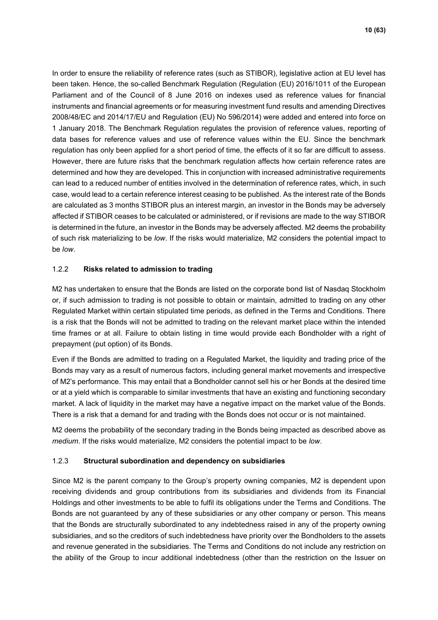In order to ensure the reliability of reference rates (such as STIBOR), legislative action at EU level has been taken. Hence, the so-called Benchmark Regulation (Regulation (EU) 2016/1011 of the European Parliament and of the Council of 8 June 2016 on indexes used as reference values for financial instruments and financial agreements or for measuring investment fund results and amending Directives 2008/48/EC and 2014/17/EU and Regulation (EU) No 596/2014) were added and entered into force on 1 January 2018. The Benchmark Regulation regulates the provision of reference values, reporting of data bases for reference values and use of reference values within the EU. Since the benchmark regulation has only been applied for a short period of time, the effects of it so far are difficult to assess. However, there are future risks that the benchmark regulation affects how certain reference rates are determined and how they are developed. This in conjunction with increased administrative requirements can lead to a reduced number of entities involved in the determination of reference rates, which, in such case, would lead to a certain reference interest ceasing to be published. As the interest rate of the Bonds are calculated as 3 months STIBOR plus an interest margin, an investor in the Bonds may be adversely affected if STIBOR ceases to be calculated or administered, or if revisions are made to the way STIBOR is determined in the future, an investor in the Bonds may be adversely affected. M2 deems the probability of such risk materializing to be *low*. If the risks would materialize, M2 considers the potential impact to be *low*.

### 1.2.2 **Risks related to admission to trading**

M2 has undertaken to ensure that the Bonds are listed on the corporate bond list of Nasdaq Stockholm or, if such admission to trading is not possible to obtain or maintain, admitted to trading on any other Regulated Market within certain stipulated time periods, as defined in the Terms and Conditions. There is a risk that the Bonds will not be admitted to trading on the relevant market place within the intended time frames or at all. Failure to obtain listing in time would provide each Bondholder with a right of prepayment (put option) of its Bonds.

Even if the Bonds are admitted to trading on a Regulated Market, the liquidity and trading price of the Bonds may vary as a result of numerous factors, including general market movements and irrespective of M2's performance. This may entail that a Bondholder cannot sell his or her Bonds at the desired time or at a yield which is comparable to similar investments that have an existing and functioning secondary market. A lack of liquidity in the market may have a negative impact on the market value of the Bonds. There is a risk that a demand for and trading with the Bonds does not occur or is not maintained.

M2 deems the probability of the secondary trading in the Bonds being impacted as described above as *medium*. If the risks would materialize, M2 considers the potential impact to be *low*.

### 1.2.3 **Structural subordination and dependency on subsidiaries**

Since M2 is the parent company to the Group's property owning companies, M2 is dependent upon receiving dividends and group contributions from its subsidiaries and dividends from its Financial Holdings and other investments to be able to fulfil its obligations under the Terms and Conditions. The Bonds are not guaranteed by any of these subsidiaries or any other company or person. This means that the Bonds are structurally subordinated to any indebtedness raised in any of the property owning subsidiaries, and so the creditors of such indebtedness have priority over the Bondholders to the assets and revenue generated in the subsidiaries. The Terms and Conditions do not include any restriction on the ability of the Group to incur additional indebtedness (other than the restriction on the Issuer on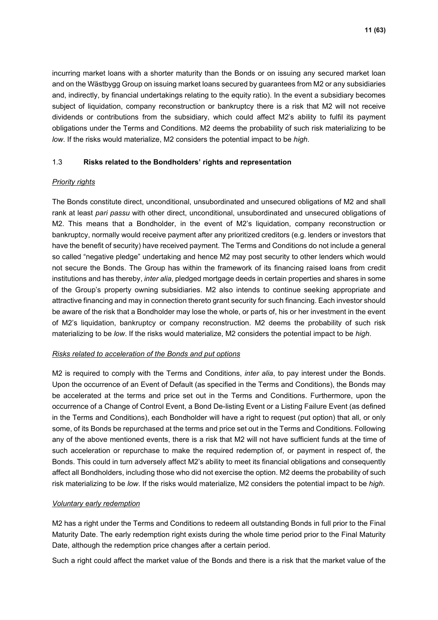incurring market loans with a shorter maturity than the Bonds or on issuing any secured market loan and on the Wästbygg Group on issuing market loans secured by guarantees from M2 or any subsidiaries and, indirectly, by financial undertakings relating to the equity ratio). In the event a subsidiary becomes subject of liquidation, company reconstruction or bankruptcy there is a risk that M2 will not receive dividends or contributions from the subsidiary, which could affect M2's ability to fulfil its payment obligations under the Terms and Conditions. M2 deems the probability of such risk materializing to be *low*. If the risks would materialize, M2 considers the potential impact to be *high*.

### 1.3 **Risks related to the Bondholders' rights and representation**

### *Priority rights*

The Bonds constitute direct, unconditional, unsubordinated and unsecured obligations of M2 and shall rank at least *pari passu* with other direct, unconditional, unsubordinated and unsecured obligations of M2. This means that a Bondholder, in the event of M2's liquidation, company reconstruction or bankruptcy, normally would receive payment after any prioritized creditors (e.g. lenders or investors that have the benefit of security) have received payment. The Terms and Conditions do not include a general so called "negative pledge" undertaking and hence M2 may post security to other lenders which would not secure the Bonds. The Group has within the framework of its financing raised loans from credit institutions and has thereby, *inter alia*, pledged mortgage deeds in certain properties and shares in some of the Group's property owning subsidiaries. M2 also intends to continue seeking appropriate and attractive financing and may in connection thereto grant security for such financing. Each investor should be aware of the risk that a Bondholder may lose the whole, or parts of, his or her investment in the event of M2's liquidation, bankruptcy or company reconstruction. M2 deems the probability of such risk materializing to be *low*. If the risks would materialize, M2 considers the potential impact to be *high*.

### *Risks related to acceleration of the Bonds and put options*

M2 is required to comply with the Terms and Conditions, *inter alia*, to pay interest under the Bonds. Upon the occurrence of an Event of Default (as specified in the Terms and Conditions), the Bonds may be accelerated at the terms and price set out in the Terms and Conditions. Furthermore, upon the occurrence of a Change of Control Event, a Bond De-listing Event or a Listing Failure Event (as defined in the Terms and Conditions), each Bondholder will have a right to request (put option) that all, or only some, of its Bonds be repurchased at the terms and price set out in the Terms and Conditions. Following any of the above mentioned events, there is a risk that M2 will not have sufficient funds at the time of such acceleration or repurchase to make the required redemption of, or payment in respect of, the Bonds. This could in turn adversely affect M2's ability to meet its financial obligations and consequently affect all Bondholders, including those who did not exercise the option. M2 deems the probability of such risk materializing to be *low*. If the risks would materialize, M2 considers the potential impact to be *high*.

### *Voluntary early redemption*

M2 has a right under the Terms and Conditions to redeem all outstanding Bonds in full prior to the Final Maturity Date. The early redemption right exists during the whole time period prior to the Final Maturity Date, although the redemption price changes after a certain period.

Such a right could affect the market value of the Bonds and there is a risk that the market value of the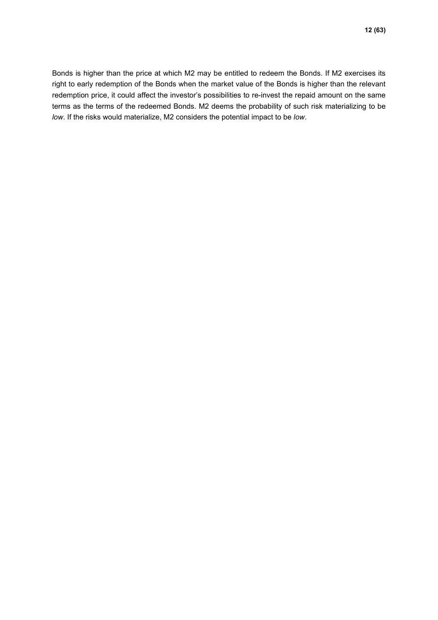Bonds is higher than the price at which M2 may be entitled to redeem the Bonds. If M2 exercises its right to early redemption of the Bonds when the market value of the Bonds is higher than the relevant redemption price, it could affect the investor's possibilities to re-invest the repaid amount on the same terms as the terms of the redeemed Bonds. M2 deems the probability of such risk materializing to be *low*. If the risks would materialize, M2 considers the potential impact to be *low*.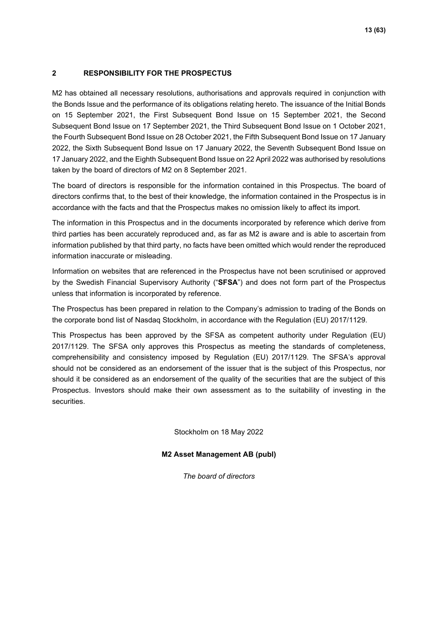### <span id="page-12-0"></span>**2 RESPONSIBILITY FOR THE PROSPECTUS**

M2 has obtained all necessary resolutions, authorisations and approvals required in conjunction with the Bonds Issue and the performance of its obligations relating hereto. The issuance of the Initial Bonds on 15 September 2021, the First Subsequent Bond Issue on 15 September 2021, the Second Subsequent Bond Issue on 17 September 2021, the Third Subsequent Bond Issue on 1 October 2021, the Fourth Subsequent Bond Issue on 28 October 2021, the Fifth Subsequent Bond Issue on 17 January 2022, the Sixth Subsequent Bond Issue on 17 January 2022, the Seventh Subsequent Bond Issue on 17 January 2022, and the Eighth Subsequent Bond Issue on 22 April 2022 was authorised by resolutions taken by the board of directors of M2 on 8 September 2021.

The board of directors is responsible for the information contained in this Prospectus. The board of directors confirms that, to the best of their knowledge, the information contained in the Prospectus is in accordance with the facts and that the Prospectus makes no omission likely to affect its import.

The information in this Prospectus and in the documents incorporated by reference which derive from third parties has been accurately reproduced and, as far as M2 is aware and is able to ascertain from information published by that third party, no facts have been omitted which would render the reproduced information inaccurate or misleading.

Information on websites that are referenced in the Prospectus have not been scrutinised or approved by the Swedish Financial Supervisory Authority ("**SFSA**") and does not form part of the Prospectus unless that information is incorporated by reference.

The Prospectus has been prepared in relation to the Company's admission to trading of the Bonds on the corporate bond list of Nasdaq Stockholm, in accordance with the Regulation (EU) 2017/1129.

This Prospectus has been approved by the SFSA as competent authority under Regulation (EU) 2017/1129. The SFSA only approves this Prospectus as meeting the standards of completeness, comprehensibility and consistency imposed by Regulation (EU) 2017/1129. The SFSA's approval should not be considered as an endorsement of the issuer that is the subject of this Prospectus, nor should it be considered as an endorsement of the quality of the securities that are the subject of this Prospectus. Investors should make their own assessment as to the suitability of investing in the securities.

Stockholm on 18 May 2022

**M2 Asset Management AB (publ)**

*The board of directors*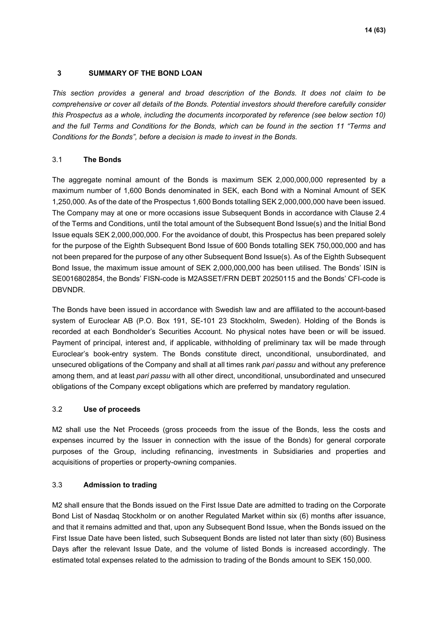### <span id="page-13-0"></span>**3 SUMMARY OF THE BOND LOAN**

*This section provides a general and broad description of the Bonds. It does not claim to be comprehensive or cover all details of the Bonds. Potential investors should therefore carefully consider this Prospectus as a whole, including the documents incorporated by reference (see below section 10) and the full Terms and Conditions for the Bonds, which can be found in the section 11 "Terms and Conditions for the Bonds", before a decision is made to invest in the Bonds.*

### 3.1 **The Bonds**

The aggregate nominal amount of the Bonds is maximum SEK 2,000,000,000 represented by a maximum number of 1,600 Bonds denominated in SEK, each Bond with a Nominal Amount of SEK 1,250,000. As of the date of the Prospectus 1,600 Bonds totalling SEK 2,000,000,000 have been issued. The Company may at one or more occasions issue Subsequent Bonds in accordance with Clause 2.4 of the Terms and Conditions, until the total amount of the Subsequent Bond Issue(s) and the Initial Bond Issue equals SEK 2,000,000,000. For the avoidance of doubt, this Prospectus has been prepared solely for the purpose of the Eighth Subsequent Bond Issue of 600 Bonds totalling SEK 750,000,000 and has not been prepared for the purpose of any other Subsequent Bond Issue(s). As of the Eighth Subsequent Bond Issue, the maximum issue amount of SEK 2,000,000,000 has been utilised. The Bonds' ISIN is SE0016802854, the Bonds' FISN-code is M2ASSET/FRN DEBT 20250115 and the Bonds' CFI-code is DBVNDR.

The Bonds have been issued in accordance with Swedish law and are affiliated to the account-based system of Euroclear AB (P.O. Box 191, SE-101 23 Stockholm, Sweden). Holding of the Bonds is recorded at each Bondholder's Securities Account. No physical notes have been or will be issued. Payment of principal, interest and, if applicable, withholding of preliminary tax will be made through Euroclear's book-entry system. The Bonds constitute direct, unconditional, unsubordinated, and unsecured obligations of the Company and shall at all times rank *pari passu* and without any preference among them, and at least *pari passu* with all other direct, unconditional, unsubordinated and unsecured obligations of the Company except obligations which are preferred by mandatory regulation.

### 3.2 **Use of proceeds**

M2 shall use the Net Proceeds (gross proceeds from the issue of the Bonds, less the costs and expenses incurred by the Issuer in connection with the issue of the Bonds) for general corporate purposes of the Group, including refinancing, investments in Subsidiaries and properties and acquisitions of properties or property-owning companies.

### 3.3 **Admission to trading**

M2 shall ensure that the Bonds issued on the First Issue Date are admitted to trading on the Corporate Bond List of Nasdaq Stockholm or on another Regulated Market within six (6) months after issuance, and that it remains admitted and that, upon any Subsequent Bond Issue, when the Bonds issued on the First Issue Date have been listed, such Subsequent Bonds are listed not later than sixty (60) Business Days after the relevant Issue Date, and the volume of listed Bonds is increased accordingly. The estimated total expenses related to the admission to trading of the Bonds amount to SEK 150,000.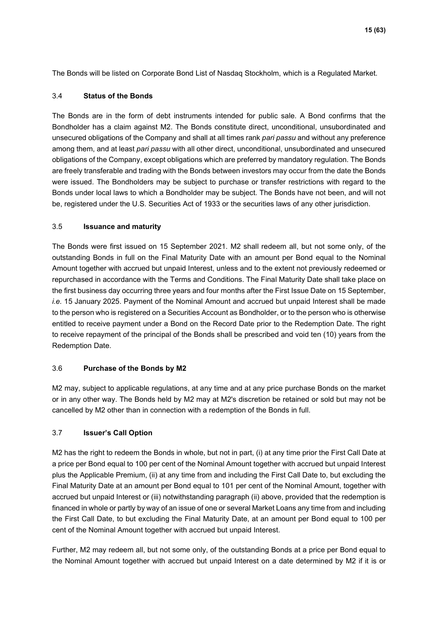The Bonds will be listed on Corporate Bond List of Nasdaq Stockholm, which is a Regulated Market.

### 3.4 **Status of the Bonds**

The Bonds are in the form of debt instruments intended for public sale. A Bond confirms that the Bondholder has a claim against M2. The Bonds constitute direct, unconditional, unsubordinated and unsecured obligations of the Company and shall at all times rank *pari passu* and without any preference among them, and at least *pari passu* with all other direct, unconditional, unsubordinated and unsecured obligations of the Company, except obligations which are preferred by mandatory regulation. The Bonds are freely transferable and trading with the Bonds between investors may occur from the date the Bonds were issued. The Bondholders may be subject to purchase or transfer restrictions with regard to the Bonds under local laws to which a Bondholder may be subject. The Bonds have not been, and will not be, registered under the U.S. Securities Act of 1933 or the securities laws of any other jurisdiction.

### 3.5 **Issuance and maturity**

The Bonds were first issued on 15 September 2021. M2 shall redeem all, but not some only, of the outstanding Bonds in full on the Final Maturity Date with an amount per Bond equal to the Nominal Amount together with accrued but unpaid Interest, unless and to the extent not previously redeemed or repurchased in accordance with the Terms and Conditions. The Final Maturity Date shall take place on the first business day occurring three years and four months after the First Issue Date on 15 September, *i.e.* 15 January 2025. Payment of the Nominal Amount and accrued but unpaid Interest shall be made to the person who is registered on a Securities Account as Bondholder, or to the person who is otherwise entitled to receive payment under a Bond on the Record Date prior to the Redemption Date. The right to receive repayment of the principal of the Bonds shall be prescribed and void ten (10) years from the Redemption Date.

### 3.6 **Purchase of the Bonds by M2**

M2 may, subject to applicable regulations, at any time and at any price purchase Bonds on the market or in any other way. The Bonds held by M2 may at M2's discretion be retained or sold but may not be cancelled by M2 other than in connection with a redemption of the Bonds in full.

### 3.7 **Issuer's Call Option**

M2 has the right to redeem the Bonds in whole, but not in part, (i) at any time prior the First Call Date at a price per Bond equal to 100 per cent of the Nominal Amount together with accrued but unpaid Interest plus the Applicable Premium, (ii) at any time from and including the First Call Date to, but excluding the Final Maturity Date at an amount per Bond equal to 101 per cent of the Nominal Amount, together with accrued but unpaid Interest or (iii) notwithstanding paragraph (ii) above, provided that the redemption is financed in whole or partly by way of an issue of one or several Market Loans any time from and including the First Call Date, to but excluding the Final Maturity Date, at an amount per Bond equal to 100 per cent of the Nominal Amount together with accrued but unpaid Interest.

<span id="page-14-0"></span>Further, M2 may redeem all, but not some only, of the outstanding Bonds at a price per Bond equal to the Nominal Amount together with accrued but unpaid Interest on a date determined by M2 if it is or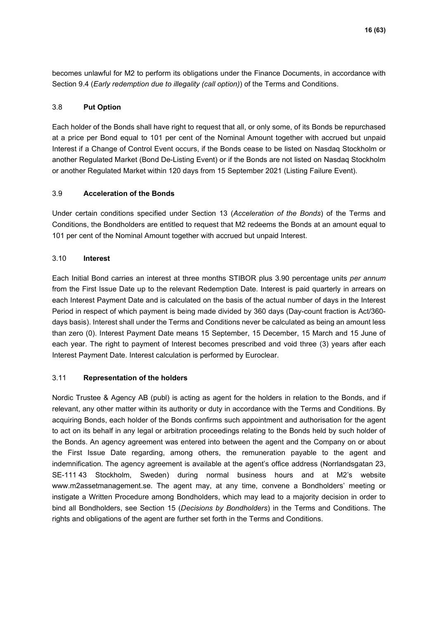becomes unlawful for M2 to perform its obligations under the Finance Documents, in accordance with Section 9.4 (*Early redemption due to illegality (call option)*) of the Terms and Conditions.

### 3.8 **Put Option**

Each holder of the Bonds shall have right to request that all, or only some, of its Bonds be repurchased at a price per Bond equal to 101 per cent of the Nominal Amount together with accrued but unpaid Interest if a Change of Control Event occurs, if the Bonds cease to be listed on Nasdaq Stockholm or another Regulated Market (Bond De-Listing Event) or if the Bonds are not listed on Nasdaq Stockholm or another Regulated Market within 120 days from 15 September 2021 (Listing Failure Event).

### 3.9 **Acceleration of the Bonds**

Under certain conditions specified under Section 13 (*Acceleration of the Bonds*) of the Terms and Conditions, the Bondholders are entitled to request that M2 redeems the Bonds at an amount equal to 101 per cent of the Nominal Amount together with accrued but unpaid Interest.

### 3.10 **Interest**

Each Initial Bond carries an interest at three months STIBOR plus 3.90 percentage units *per annum* from the First Issue Date up to the relevant Redemption Date. Interest is paid quarterly in arrears on each Interest Payment Date and is calculated on the basis of the actual number of days in the Interest Period in respect of which payment is being made divided by 360 days (Day-count fraction is Act/360 days basis). Interest shall under the Terms and Conditions never be calculated as being an amount less than zero (0). Interest Payment Date means 15 September, 15 December, 15 March and 15 June of each year. The right to payment of Interest becomes prescribed and void three (3) years after each Interest Payment Date. Interest calculation is performed by Euroclear.

### 3.11 **Representation of the holders**

Nordic Trustee & Agency AB (publ) is acting as agent for the holders in relation to the Bonds, and if relevant, any other matter within its authority or duty in accordance with the Terms and Conditions. By acquiring Bonds, each holder of the Bonds confirms such appointment and authorisation for the agent to act on its behalf in any legal or arbitration proceedings relating to the Bonds held by such holder of the Bonds. An agency agreement was entered into between the agent and the Company on or about the First Issue Date regarding, among others, the remuneration payable to the agent and indemnification. The agency agreement is available at the agent's office address (Norrlandsgatan 23, SE-111 43 Stockholm, Sweden) during normal business hours and at M2's website www.m2assetmanagement.se. The agent may, at any time, convene a Bondholders' meeting or instigate a Written Procedure among Bondholders, which may lead to a majority decision in order to bind all Bondholders, see Section 15 (*Decisions by Bondholders*) in the Terms and Conditions. The rights and obligations of the agent are further set forth in the Terms and Conditions.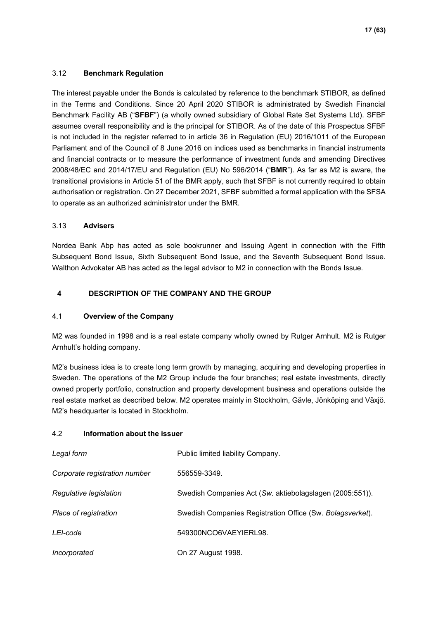### 3.12 **Benchmark Regulation**

The interest payable under the Bonds is calculated by reference to the benchmark STIBOR, as defined in the Terms and Conditions. Since 20 April 2020 STIBOR is administrated by Swedish Financial Benchmark Facility AB ("**SFBF**") (a wholly owned subsidiary of Global Rate Set Systems Ltd). SFBF assumes overall responsibility and is the principal for STIBOR. As of the date of this Prospectus SFBF is not included in the register referred to in article 36 in Regulation (EU) 2016/1011 of the European Parliament and of the Council of 8 June 2016 on indices used as benchmarks in financial instruments and financial contracts or to measure the performance of investment funds and amending Directives 2008/48/EC and 2014/17/EU and Regulation (EU) No 596/2014 ("**BMR**"). As far as M2 is aware, the transitional provisions in Article 51 of the BMR apply, such that SFBF is not currently required to obtain authorisation or registration. On 27 December 2021, SFBF submitted a formal application with the SFSA to operate as an authorized administrator under the BMR.

### 3.13 **Advisers**

Nordea Bank Abp has acted as sole bookrunner and Issuing Agent in connection with the Fifth Subsequent Bond Issue, Sixth Subsequent Bond Issue, and the Seventh Subsequent Bond Issue. Walthon Advokater AB has acted as the legal advisor to M2 in connection with the Bonds Issue.

### <span id="page-16-0"></span>**4 DESCRIPTION OF THE COMPANY AND THE GROUP**

### 4.1 **Overview of the Company**

M2 was founded in 1998 and is a real estate company wholly owned by Rutger Arnhult. M2 is Rutger Arnhult's holding company.

M2's business idea is to create long term growth by managing, acquiring and developing properties in Sweden. The operations of the M2 Group include the four branches; real estate investments, directly owned property portfolio, construction and property development business and operations outside the real estate market as described below. M2 operates mainly in Stockholm, Gävle, Jönköping and Växjö. M2's headquarter is located in Stockholm.

### 4.2 **Information about the issuer**

| Legal form                    | Public limited liability Company.                         |
|-------------------------------|-----------------------------------------------------------|
| Corporate registration number | 556559-3349.                                              |
| Regulative legislation        | Swedish Companies Act (Sw. aktiebolagslagen (2005:551)).  |
| Place of registration         | Swedish Companies Registration Office (Sw. Bolagsverket). |
| LEI-code                      | 549300NCO6VAEYIERL98.                                     |
| Incorporated                  | On 27 August 1998.                                        |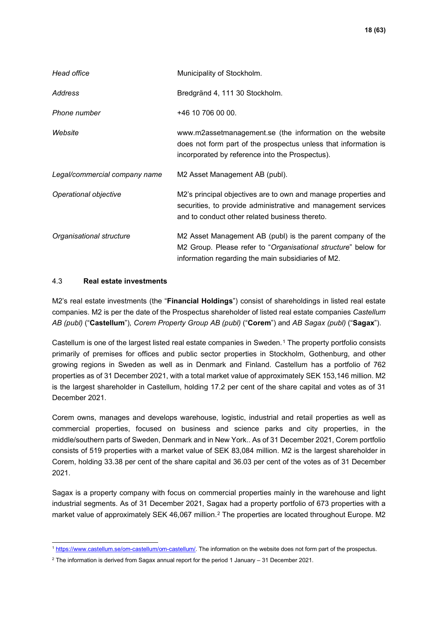| Head office                   | Municipality of Stockholm.                                                                                                                                                         |
|-------------------------------|------------------------------------------------------------------------------------------------------------------------------------------------------------------------------------|
| Address                       | Bredgränd 4, 111 30 Stockholm.                                                                                                                                                     |
| Phone number                  | +46 10 706 00 00.                                                                                                                                                                  |
| Website                       | www.m2assetmanagement.se (the information on the website<br>does not form part of the prospectus unless that information is<br>incorporated by reference into the Prospectus).     |
| Legal/commercial company name | M2 Asset Management AB (publ).                                                                                                                                                     |
| Operational objective         | M2's principal objectives are to own and manage properties and<br>securities, to provide administrative and management services<br>and to conduct other related business thereto.  |
| Organisational structure      | M2 Asset Management AB (publ) is the parent company of the<br>M2 Group. Please refer to "Organisational structure" below for<br>information regarding the main subsidiaries of M2. |

### 4.3 **Real estate investments**

M2's real estate investments (the "**Financial Holdings**") consist of shareholdings in listed real estate companies. M2 is per the date of the Prospectus shareholder of listed real estate companies *Castellum AB (publ)* ("**Castellum**")*, Corem Property Group AB (publ)* ("**Corem**") and *AB Sagax (publ)* ("**Sagax**").

Castellum is one of the largest listed real estate companies in Sweden.[1](#page-17-0) The property portfolio consists primarily of premises for offices and public sector properties in Stockholm, Gothenburg, and other growing regions in Sweden as well as in Denmark and Finland. Castellum has a portfolio of 762 properties as of 31 December 2021, with a total market value of approximately SEK 153,146 million. M2 is the largest shareholder in Castellum, holding 17.2 per cent of the share capital and votes as of 31 December 2021.

Corem owns, manages and develops warehouse, logistic, industrial and retail properties as well as commercial properties, focused on business and science parks and city properties, in the middle/southern parts of Sweden, Denmark and in New York.. As of 31 December 2021, Corem portfolio consists of 519 properties with a market value of SEK 83,084 million. M2 is the largest shareholder in Corem, holding 33.38 per cent of the share capital and 36.03 per cent of the votes as of 31 December 2021.

Sagax is a property company with focus on commercial properties mainly in the warehouse and light industrial segments. As of 31 December 2021, Sagax had a property portfolio of 673 properties with a market value of approximately SEK 46,067 million.[2](#page-17-1) The properties are located throughout Europe. M2

<span id="page-17-0"></span><sup>&</sup>lt;sup>1</sup> [https://www.castellum.se/om-castellum/om-castellum/.](https://www.castellum.se/om-castellum/om-castellum/) The information on the website does not form part of the prospectus.

<span id="page-17-1"></span> $2$  The information is derived from Sagax annual report for the period 1 January – 31 December 2021.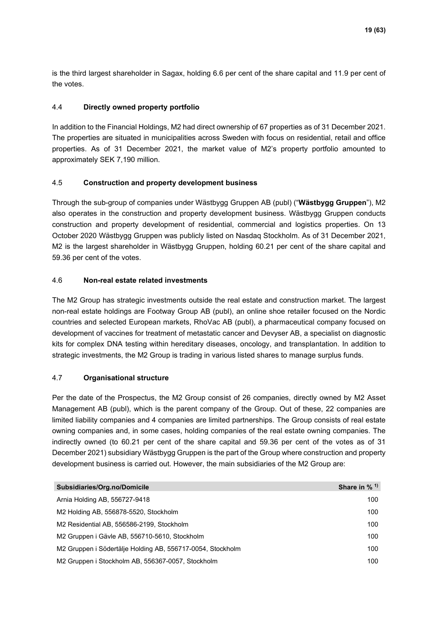is the third largest shareholder in Sagax, holding 6.6 per cent of the share capital and 11.9 per cent of the votes.

### 4.4 **Directly owned property portfolio**

In addition to the Financial Holdings, M2 had direct ownership of 67 properties as of 31 December 2021. The properties are situated in municipalities across Sweden with focus on residential, retail and office properties. As of 31 December 2021, the market value of M2's property portfolio amounted to approximately SEK 7,190 million.

### 4.5 **Construction and property development business**

Through the sub-group of companies under Wästbygg Gruppen AB (publ) ("**Wästbygg Gruppen**"), M2 also operates in the construction and property development business. Wästbygg Gruppen conducts construction and property development of residential, commercial and logistics properties. On 13 October 2020 Wästbygg Gruppen was publicly listed on Nasdaq Stockholm. As of 31 December 2021, M2 is the largest shareholder in Wästbygg Gruppen, holding 60.21 per cent of the share capital and 59.36 per cent of the votes.

### 4.6 **Non-real estate related investments**

The M2 Group has strategic investments outside the real estate and construction market. The largest non-real estate holdings are Footway Group AB (publ), an online shoe retailer focused on the Nordic countries and selected European markets, RhoVac AB (publ), a pharmaceutical company focused on development of vaccines for treatment of metastatic cancer and Devyser AB, a specialist on diagnostic kits for complex DNA testing within hereditary diseases, oncology, and transplantation. In addition to strategic investments, the M2 Group is trading in various listed shares to manage surplus funds.

### 4.7 **Organisational structure**

Per the date of the Prospectus, the M2 Group consist of 26 companies, directly owned by M2 Asset Management AB (publ), which is the parent company of the Group. Out of these, 22 companies are limited liability companies and 4 companies are limited partnerships. The Group consists of real estate owning companies and, in some cases, holding companies of the real estate owning companies. The indirectly owned (to 60.21 per cent of the share capital and 59.36 per cent of the votes as of 31 December 2021) subsidiary Wästbygg Gruppen is the part of the Group where construction and property development business is carried out. However, the main subsidiaries of the M2 Group are:

| Subsidiaries/Org.no/Domicile                               | Share in $%$ <sup>1)</sup> |
|------------------------------------------------------------|----------------------------|
| Arnia Holding AB, 556727-9418                              | 100                        |
| M2 Holding AB, 556878-5520, Stockholm                      | 100                        |
| M2 Residential AB, 556586-2199, Stockholm                  | 100                        |
| M2 Gruppen i Gävle AB, 556710-5610, Stockholm              | 100                        |
| M2 Gruppen i Södertälje Holding AB, 556717-0054, Stockholm | 100                        |
| M2 Gruppen i Stockholm AB, 556367-0057, Stockholm          | 100                        |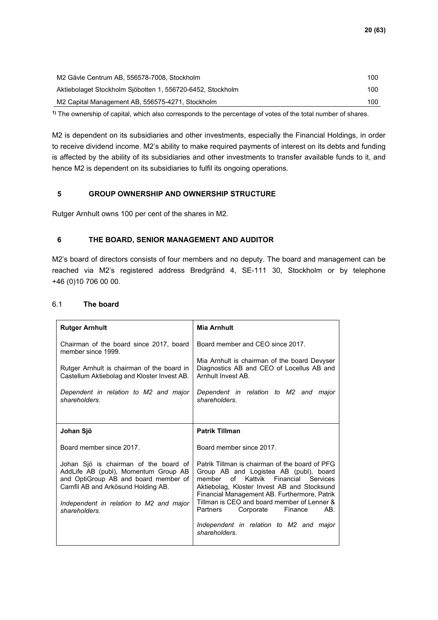| M2 Gävle Centrum AB, 556578-7008, Stockholm                | 100 |
|------------------------------------------------------------|-----|
| Aktiebolaget Stockholm Sjöbotten 1, 556720-6452, Stockholm | 100 |
| M2 Capital Management AB, 556575-4271, Stockholm           | 100 |

**1)** The ownership of capital, which also corresponds to the percentage of votes of the total number of shares.

M2 is dependent on its subsidiaries and other investments, especially the Financial Holdings, in order to receive dividend income. M2's ability to make required payments of interest on its debts and funding is affected by the ability of its subsidiaries and other investments to transfer available funds to it, and hence M2 is dependent on its subsidiaries to fulfil its ongoing operations.

### <span id="page-19-0"></span>**5 GROUP OWNERSHIP AND OWNERSHIP STRUCTURE**

<span id="page-19-1"></span>Rutger Arnhult owns 100 per cent of the shares in M2.

### **6 THE BOARD, SENIOR MANAGEMENT AND AUDITOR**

M2's board of directors consists of four members and no deputy. The board and management can be reached via M2's registered address Bredgränd 4, SE-111 30, Stockholm or by telephone +46 (0)10 706 00 00.

| <b>Rutger Arnhult</b>                                                                                                                                                                                                   | <b>Mia Arnhult</b>                                                                                                                                                                                                                                                                                                        |
|-------------------------------------------------------------------------------------------------------------------------------------------------------------------------------------------------------------------------|---------------------------------------------------------------------------------------------------------------------------------------------------------------------------------------------------------------------------------------------------------------------------------------------------------------------------|
| Chairman of the board since 2017, board<br>member since 1999.                                                                                                                                                           | Board member and CFO since 2017.                                                                                                                                                                                                                                                                                          |
| Rutger Arnhult is chairman of the board in<br>Castellum Aktiebolag and Kloster Invest AB.                                                                                                                               | Mia Arnhult is chairman of the board Devyser<br>Diagnostics AB and CEO of Locellus AB and<br>Arnhult Invest AB.                                                                                                                                                                                                           |
| Dependent in relation to M2 and major<br>shareholders.                                                                                                                                                                  | Dependent in relation to M2 and<br>major<br>shareholders.                                                                                                                                                                                                                                                                 |
|                                                                                                                                                                                                                         |                                                                                                                                                                                                                                                                                                                           |
| Johan Sjö                                                                                                                                                                                                               | <b>Patrik Tillman</b>                                                                                                                                                                                                                                                                                                     |
| Board member since 2017.                                                                                                                                                                                                | Board member since 2017.                                                                                                                                                                                                                                                                                                  |
| Johan Sjö is chairman of the board of<br>AddLife AB (publ), Momentum Group AB<br>and OptiGroup AB and board member of<br>Camfil AB and Arkösund Holding AB.<br>Independent in relation to M2 and major<br>shareholders. | Patrik Tillman is chairman of the board of PFG<br>Group AB and Logistea AB (publ), board<br>member of Kattvik Financial Services<br>Aktiebolag, Kloster Invest AB and Stocksund<br>Financial Management AB. Furthermore, Patrik<br>Tillman is CEO and board member of Lenner &<br>Finance<br>AB.<br>Partners<br>Corporate |
|                                                                                                                                                                                                                         | Independent in relation to M2 and major<br>shareholders.                                                                                                                                                                                                                                                                  |

### 6.1 **The board**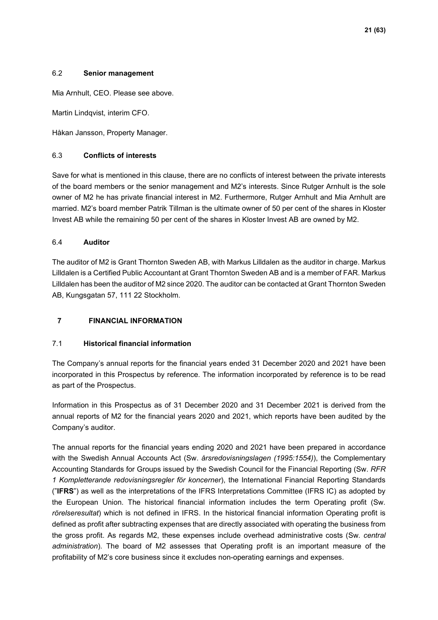### 6.2 **Senior management**

Mia Arnhult, CEO. Please see above.

Martin Lindqvist, interim CFO.

Håkan Jansson, Property Manager.

### 6.3 **Conflicts of interests**

Save for what is mentioned in this clause, there are no conflicts of interest between the private interests of the board members or the senior management and M2's interests. Since Rutger Arnhult is the sole owner of M2 he has private financial interest in M2. Furthermore, Rutger Arnhult and Mia Arnhult are married. M2's board member Patrik Tillman is the ultimate owner of 50 per cent of the shares in Kloster Invest AB while the remaining 50 per cent of the shares in Kloster Invest AB are owned by M2.

### 6.4 **Auditor**

The auditor of M2 is Grant Thornton Sweden AB, with Markus Lilldalen as the auditor in charge. Markus Lilldalen is a Certified Public Accountant at Grant Thornton Sweden AB and is a member of FAR. Markus Lilldalen has been the auditor of M2 since 2020. The auditor can be contacted at Grant Thornton Sweden AB, Kungsgatan 57, 111 22 Stockholm.

### <span id="page-20-0"></span>**7 FINANCIAL INFORMATION**

### 7.1 **Historical financial information**

The Company's annual reports for the financial years ended 31 December 2020 and 2021 have been incorporated in this Prospectus by reference. The information incorporated by reference is to be read as part of the Prospectus.

Information in this Prospectus as of 31 December 2020 and 31 December 2021 is derived from the annual reports of M2 for the financial years 2020 and 2021, which reports have been audited by the Company's auditor.

The annual reports for the financial years ending 2020 and 2021 have been prepared in accordance with the Swedish Annual Accounts Act (Sw. *årsredovisningslagen (1995:1554)*), the Complementary Accounting Standards for Groups issued by the Swedish Council for the Financial Reporting (Sw. *RFR 1 Kompletterande redovisningsregler för koncerner*), the International Financial Reporting Standards ("**IFRS**") as well as the interpretations of the IFRS Interpretations Committee (IFRS IC) as adopted by the European Union. The historical financial information includes the term Operating profit (Sw*. rörelseresultat*) which is not defined in IFRS. In the historical financial information Operating profit is defined as profit after subtracting expenses that are directly associated with operating the business from the gross profit. As regards M2, these expenses include overhead administrative costs (Sw*. central administration*). The board of M2 assesses that Operating profit is an important measure of the profitability of M2's core business since it excludes non-operating earnings and expenses.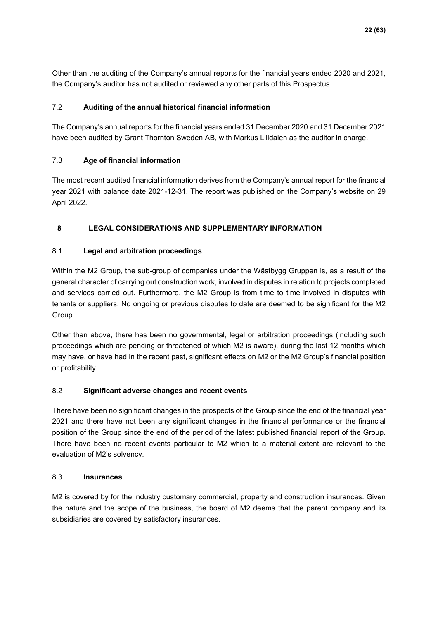Other than the auditing of the Company's annual reports for the financial years ended 2020 and 2021, the Company's auditor has not audited or reviewed any other parts of this Prospectus.

### 7.2 **Auditing of the annual historical financial information**

The Company's annual reports for the financial years ended 31 December 2020 and 31 December 2021 have been audited by Grant Thornton Sweden AB, with Markus Lilldalen as the auditor in charge.

### 7.3 **Age of financial information**

The most recent audited financial information derives from the Company's annual report for the financial year 2021 with balance date 2021-12-31. The report was published on the Company's website on 29 April 2022.

### <span id="page-21-0"></span>**8 LEGAL CONSIDERATIONS AND SUPPLEMENTARY INFORMATION**

### 8.1 **Legal and arbitration proceedings**

Within the M2 Group, the sub-group of companies under the Wästbygg Gruppen is, as a result of the general character of carrying out construction work, involved in disputes in relation to projects completed and services carried out. Furthermore, the M2 Group is from time to time involved in disputes with tenants or suppliers. No ongoing or previous disputes to date are deemed to be significant for the M2 Group.

Other than above, there has been no governmental, legal or arbitration proceedings (including such proceedings which are pending or threatened of which M2 is aware), during the last 12 months which may have, or have had in the recent past, significant effects on M2 or the M2 Group's financial position or profitability.

### 8.2 **Significant adverse changes and recent events**

There have been no significant changes in the prospects of the Group since the end of the financial year 2021 and there have not been any significant changes in the financial performance or the financial position of the Group since the end of the period of the latest published financial report of the Group. There have been no recent events particular to M2 which to a material extent are relevant to the evaluation of M2's solvency.

### 8.3 **Insurances**

M2 is covered by for the industry customary commercial, property and construction insurances. Given the nature and the scope of the business, the board of M2 deems that the parent company and its subsidiaries are covered by satisfactory insurances.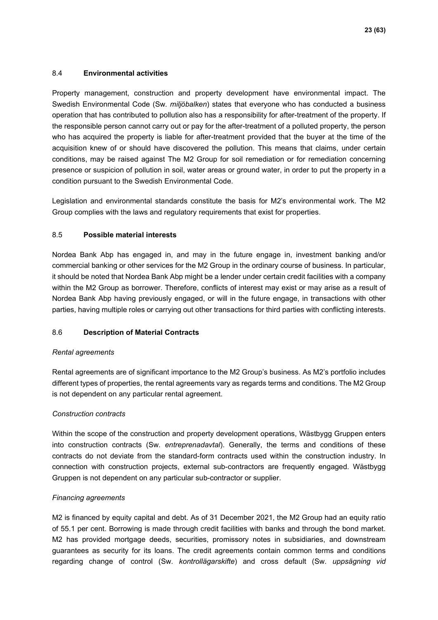### 8.4 **Environmental activities**

Property management, construction and property development have environmental impact. The Swedish Environmental Code (Sw*. miljöbalken*) states that everyone who has conducted a business operation that has contributed to pollution also has a responsibility for after-treatment of the property. If the responsible person cannot carry out or pay for the after-treatment of a polluted property, the person who has acquired the property is liable for after-treatment provided that the buyer at the time of the acquisition knew of or should have discovered the pollution. This means that claims, under certain conditions, may be raised against The M2 Group for soil remediation or for remediation concerning presence or suspicion of pollution in soil, water areas or ground water, in order to put the property in a condition pursuant to the Swedish Environmental Code.

Legislation and environmental standards constitute the basis for M2's environmental work. The M2 Group complies with the laws and regulatory requirements that exist for properties.

### 8.5 **Possible material interests**

Nordea Bank Abp has engaged in, and may in the future engage in, investment banking and/or commercial banking or other services for the M2 Group in the ordinary course of business. In particular, it should be noted that Nordea Bank Abp might be a lender under certain credit facilities with a company within the M2 Group as borrower. Therefore, conflicts of interest may exist or may arise as a result of Nordea Bank Abp having previously engaged, or will in the future engage, in transactions with other parties, having multiple roles or carrying out other transactions for third parties with conflicting interests.

### 8.6 **Description of Material Contracts**

### *Rental agreements*

Rental agreements are of significant importance to the M2 Group's business. As M2's portfolio includes different types of properties, the rental agreements vary as regards terms and conditions. The M2 Group is not dependent on any particular rental agreement.

### *Construction contracts*

Within the scope of the construction and property development operations, Wästbygg Gruppen enters into construction contracts (Sw*. entreprenadavtal*). Generally, the terms and conditions of these contracts do not deviate from the standard-form contracts used within the construction industry. In connection with construction projects, external sub-contractors are frequently engaged. Wästbygg Gruppen is not dependent on any particular sub-contractor or supplier.

### *Financing agreements*

M2 is financed by equity capital and debt. As of 31 December 2021, the M2 Group had an equity ratio of 55.1 per cent. Borrowing is made through credit facilities with banks and through the bond market. M2 has provided mortgage deeds, securities, promissory notes in subsidiaries, and downstream guarantees as security for its loans. The credit agreements contain common terms and conditions regarding change of control (Sw*. kontrollägarskifte*) and cross default (Sw*. uppsägning vid*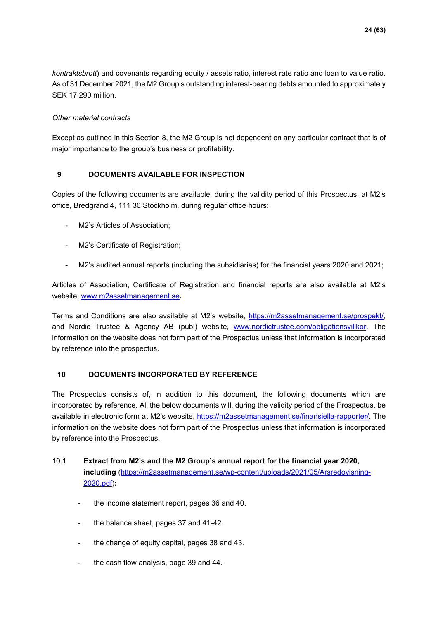*kontraktsbrott*) and covenants regarding equity / assets ratio, interest rate ratio and loan to value ratio. As of 31 December 2021, the M2 Group's outstanding interest-bearing debts amounted to approximately SEK 17,290 million.

### *Other material contracts*

Except as outlined in this Section 8, the M2 Group is not dependent on any particular contract that is of major importance to the group's business or profitability.

### <span id="page-23-0"></span>**9 DOCUMENTS AVAILABLE FOR INSPECTION**

Copies of the following documents are available, during the validity period of this Prospectus, at M2's office, Bredgränd 4, 111 30 Stockholm, during regular office hours:

- M2's Articles of Association;
- M2's Certificate of Registration;
- M2's audited annual reports (including the subsidiaries) for the financial years 2020 and 2021;

Articles of Association, Certificate of Registration and financial reports are also available at M2's website, [www.m2assetmanagement.se.](http://www.m2assetmanagement.se/)

Terms and Conditions are also available at M2's website, [https://m2assetmanagement.se/prospekt/,](https://m2assetmanagement.se/prospekt/) and Nordic Trustee & Agency AB (publ) website, [www.nordictrustee.com/obligationsvillkor.](http://www.nordictrustee.com/obligationsvillkor) The information on the website does not form part of the Prospectus unless that information is incorporated by reference into the prospectus.

### <span id="page-23-1"></span>**10 DOCUMENTS INCORPORATED BY REFERENCE**

The Prospectus consists of, in addition to this document, the following documents which are incorporated by reference. All the below documents will, during the validity period of the Prospectus, be available in electronic form at M2's website, [https://m2assetmanagement.se/finansiella-rapporter/.](https://m2assetmanagement.se/finansiella-rapporter/) The information on the website does not form part of the Prospectus unless that information is incorporated by reference into the Prospectus.

### 10.1 **Extract from M2's and the M2 Group's annual report for the financial year 2020, including** [\(https://m2assetmanagement.se/wp-content/uploads/2021/05/Arsredovisning-](https://m2assetmanagement.se/wp-content/uploads/2021/05/Arsredovisning-2020.pdf)[2020.pdf\)](https://m2assetmanagement.se/wp-content/uploads/2021/05/Arsredovisning-2020.pdf)**:**

- the income statement report, pages 36 and 40.
- the balance sheet, pages 37 and 41-42.
- the change of equity capital, pages 38 and 43.
- the cash flow analysis, page 39 and 44.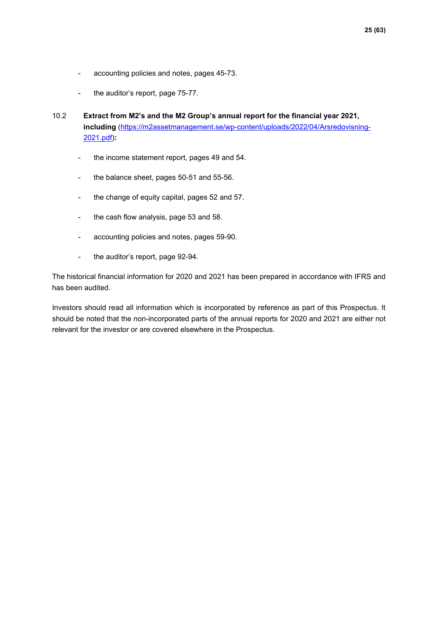- accounting policies and notes, pages 45-73.
- the auditor's report, page 75-77.
- 10.2 **Extract from M2's and the M2 Group's annual report for the financial year 2021, including** [\(https://m2assetmanagement.se/wp-content/uploads/2022/04/Arsredovisning-](https://m2assetmanagement.se/wp-content/uploads/2022/04/Arsredovisning-2021.pdf)[2021.pdf\)](https://m2assetmanagement.se/wp-content/uploads/2022/04/Arsredovisning-2021.pdf)**:** 
	- the income statement report, pages 49 and 54.
	- the balance sheet, pages 50-51 and 55-56.
	- the change of equity capital, pages 52 and 57.
	- the cash flow analysis, page 53 and 58.
	- accounting policies and notes, pages 59-90.
	- the auditor's report, page 92-94.

The historical financial information for 2020 and 2021 has been prepared in accordance with IFRS and has been audited.

Investors should read all information which is incorporated by reference as part of this Prospectus. It should be noted that the non-incorporated parts of the annual reports for 2020 and 2021 are either not relevant for the investor or are covered elsewhere in the Prospectus.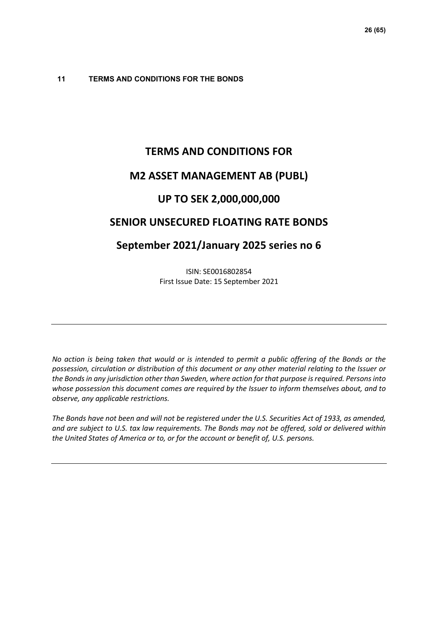### <span id="page-25-0"></span>**11 TERMS AND CONDITIONS FOR THE BONDS**

## **TERMS AND CONDITIONS FOR**

### **M2 ASSET MANAGEMENT AB (PUBL)**

### **UP TO SEK 2,000,000,000**

### **SENIOR UNSECURED FLOATING RATE BONDS**

### **September 2021/January 2025 series no 6**

ISIN: SE0016802854 First Issue Date: 15 September 2021

*No action is being taken that would or is intended to permit a public offering of the Bonds or the possession, circulation or distribution of this document or any other material relating to the Issuer or the Bonds in any jurisdiction other than Sweden, where action for that purpose is required. Persons into whose possession this document comes are required by the Issuer to inform themselves about, and to observe, any applicable restrictions.* 

*The Bonds have not been and will not be registered under the U.S. Securities Act of 1933, as amended, and are subject to U.S. tax law requirements. The Bonds may not be offered, sold or delivered within the United States of America or to, or for the account or benefit of, U.S. persons.*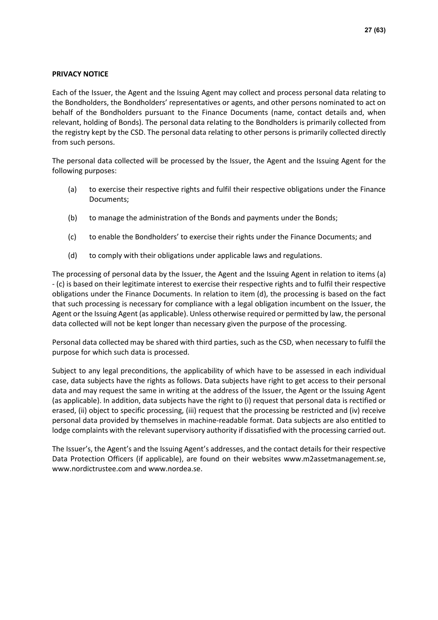### **PRIVACY NOTICE**

Each of the Issuer, the Agent and the Issuing Agent may collect and process personal data relating to the Bondholders, the Bondholders' representatives or agents, and other persons nominated to act on behalf of the Bondholders pursuant to the Finance Documents (name, contact details and, when relevant, holding of Bonds). The personal data relating to the Bondholders is primarily collected from the registry kept by the CSD. The personal data relating to other persons is primarily collected directly from such persons.

The personal data collected will be processed by the Issuer, the Agent and the Issuing Agent for the following purposes:

- <span id="page-26-0"></span>(a) to exercise their respective rights and fulfil their respective obligations under the Finance Documents;
- (b) to manage the administration of the Bonds and payments under the Bonds;
- <span id="page-26-1"></span>(c) to enable the Bondholders' to exercise their rights under the Finance Documents; and
- <span id="page-26-2"></span>(d) to comply with their obligations under applicable laws and regulations.

The processing of personal data by the Issuer, the Agent and the Issuing Agent in relation to item[s \(a\)](#page-26-0) - [\(c\)](#page-26-1) is based on their legitimate interest to exercise their respective rights and to fulfil their respective obligations under the Finance Documents. In relation to item [\(d\),](#page-26-2) the processing is based on the fact that such processing is necessary for compliance with a legal obligation incumbent on the Issuer, the Agent or the Issuing Agent (as applicable). Unless otherwise required or permitted by law, the personal data collected will not be kept longer than necessary given the purpose of the processing.

Personal data collected may be shared with third parties, such as the CSD, when necessary to fulfil the purpose for which such data is processed.

Subject to any legal preconditions, the applicability of which have to be assessed in each individual case, data subjects have the rights as follows. Data subjects have right to get access to their personal data and may request the same in writing at the address of the Issuer, the Agent or the Issuing Agent (as applicable). In addition, data subjects have the right to (i) request that personal data is rectified or erased, (ii) object to specific processing, (iii) request that the processing be restricted and (iv) receive personal data provided by themselves in machine-readable format. Data subjects are also entitled to lodge complaints with the relevant supervisory authority if dissatisfied with the processing carried out.

The Issuer's, the Agent's and the Issuing Agent's addresses, and the contact details for their respective Data Protection Officers (if applicable), are found on their websites www.m2assetmanagement.se, [www.nordictrustee.com](http://www.nordictrustee.com/) and www.nordea.se.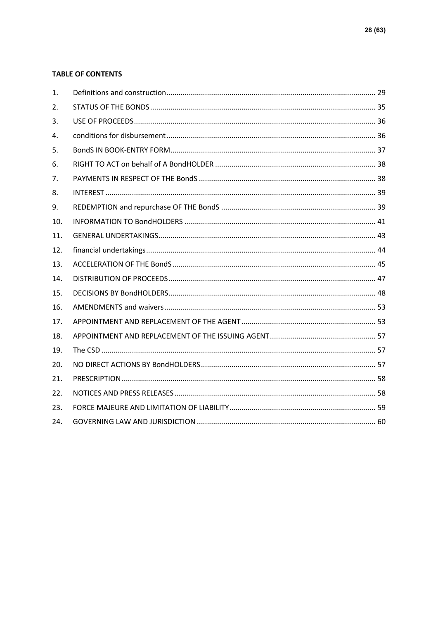### **TABLE OF CONTENTS**

| 1.  |  |
|-----|--|
| 2.  |  |
| 3.  |  |
| 4.  |  |
| 5.  |  |
| 6.  |  |
| 7.  |  |
| 8.  |  |
| 9.  |  |
| 10. |  |
| 11. |  |
| 12. |  |
| 13. |  |
| 14. |  |
| 15. |  |
| 16. |  |
| 17. |  |
| 18. |  |
| 19. |  |
| 20. |  |
| 21. |  |
| 22. |  |
| 23. |  |
| 24. |  |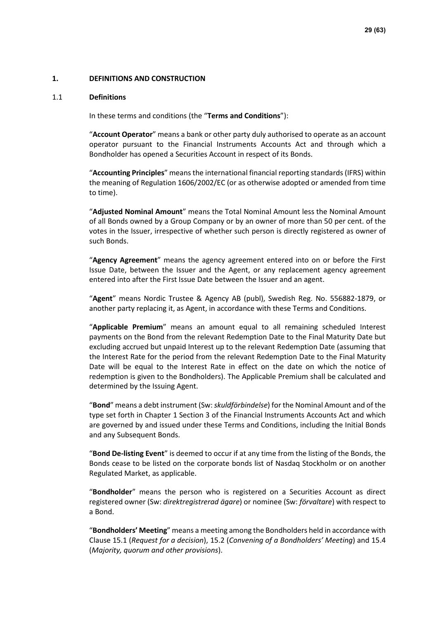### **1. DEFINITIONS AND CONSTRUCTION**

#### 1.1 **Definitions**

In these terms and conditions (the "**Terms and Conditions**"):

"**Account Operator**" means a bank or other party duly authorised to operate as an account operator pursuant to the Financial Instruments Accounts Act and through which a Bondholder has opened a Securities Account in respect of its Bonds.

"**Accounting Principles**" means the international financial reporting standards (IFRS) within the meaning of Regulation 1606/2002/EC (or as otherwise adopted or amended from time to time).

"**Adjusted Nominal Amount**" means the Total Nominal Amount less the Nominal Amount of all Bonds owned by a Group Company or by an owner of more than 50 per cent. of the votes in the Issuer, irrespective of whether such person is directly registered as owner of such Bonds.

"**Agency Agreement**" means the agency agreement entered into on or before the First Issue Date, between the Issuer and the Agent, or any replacement agency agreement entered into after the First Issue Date between the Issuer and an agent.

"**Agent**" means Nordic Trustee & Agency AB (publ), Swedish Reg. No. 556882-1879, or another party replacing it, as Agent, in accordance with these Terms and Conditions.

"**Applicable Premium**" means an amount equal to all remaining scheduled Interest payments on the Bond from the relevant Redemption Date to the Final Maturity Date but excluding accrued but unpaid Interest up to the relevant Redemption Date (assuming that the Interest Rate for the period from the relevant Redemption Date to the Final Maturity Date will be equal to the Interest Rate in effect on the date on which the notice of redemption is given to the Bondholders). The Applicable Premium shall be calculated and determined by the Issuing Agent.

"**Bond**" means a debt instrument (Sw: *skuldförbindelse*) for the Nominal Amount and of the type set forth in Chapter 1 Section 3 of the Financial Instruments Accounts Act and which are governed by and issued under these Terms and Conditions, including the Initial Bonds and any Subsequent Bonds.

"**Bond De-listing Event**" is deemed to occur if at any time from the listing of the Bonds, the Bonds cease to be listed on the corporate bonds list of Nasdaq Stockholm or on another Regulated Market, as applicable.

"**Bondholder**" means the person who is registered on a Securities Account as direct registered owner (Sw: *direktregistrerad ägare*) or nominee (Sw: *förvaltare*) with respect to a Bond.

"**Bondholders' Meeting**" means a meeting among the Bondholders held in accordance with Clause [15.1](#page-47-0) (*Request for a decision*), [15.2](#page-48-0) (*Convening of a Bondholders' Meeting*) and [15.4](#page-49-0) (*Majority, quorum and other provisions*).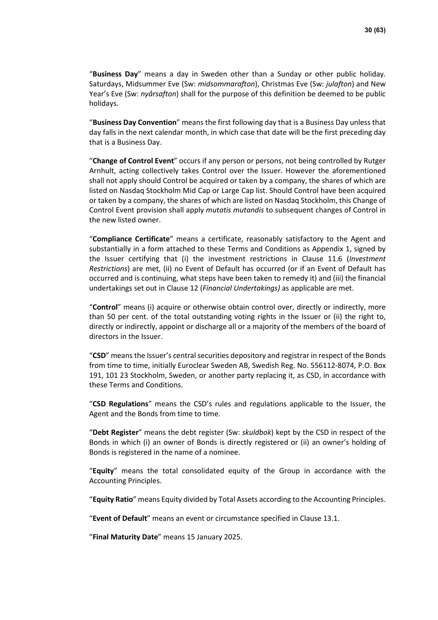"**Business Day**" means a day in Sweden other than a Sunday or other public holiday. Saturdays, Midsummer Eve (Sw: *midsommarafton*), Christmas Eve (Sw: *julafton*) and New Year's Eve (Sw: *nyårsafton*) shall for the purpose of this definition be deemed to be public holidays.

"**Business Day Convention**" means the first following day that is a Business Day unless that day falls in the next calendar month, in which case that date will be the first preceding day that is a Business Day.

"**Change of Control Event**" occurs if any person or persons, not being controlled by Rutger Arnhult, acting collectively takes Control over the Issuer. However the aforementioned shall not apply should Control be acquired or taken by a company, the shares of which are listed on Nasdaq Stockholm Mid Cap or Large Cap list. Should Control have been acquired or taken by a company, the shares of which are listed on Nasdaq Stockholm, this Change of Control Event provision shall apply *mutatis mutandis* to subsequent changes of Control in the new listed owner.

"**Compliance Certificate**" means a certificate, reasonably satisfactory to the Agent and substantially in a form attached to these Terms and Conditions as Appendix 1, signed by the Issuer certifying that (i) the investment restrictions in Clause [11.6](#page-42-0) (*Investment Restrictions*) are met, (ii) no Event of Default has occurred (or if an Event of Default has occurred and is continuing, what steps have been taken to remedy it) and (iii) the financial undertakings set out in Clause [12](#page-43-0) (*Financial Undertakings)* as applicable are met.

"**Control**" means (i) acquire or otherwise obtain control over, directly or indirectly, more than 50 per cent. of the total outstanding voting rights in the Issuer or (ii) the right to, directly or indirectly, appoint or discharge all or a majority of the members of the board of directors in the Issuer.

"**CSD**" means the Issuer's central securities depository and registrar in respect of the Bonds from time to time, initially Euroclear Sweden AB, Swedish Reg. No. 556112-8074, P.O. Box 191, 101 23 Stockholm, Sweden, or another party replacing it, as CSD, in accordance with these Terms and Conditions.

"**CSD Regulations**" means the CSD's rules and regulations applicable to the Issuer, the Agent and the Bonds from time to time.

"**Debt Register**" means the debt register (Sw: *skuldbok*) kept by the CSD in respect of the Bonds in which (i) an owner of Bonds is directly registered or (ii) an owner's holding of Bonds is registered in the name of a nominee.

"**Equity**" means the total consolidated equity of the Group in accordance with the Accounting Principles.

"**Equity Ratio**" means Equity divided by Total Assets according to the Accounting Principles.

"**Event of Default**" means an event or circumstance specified in Clause [13.1.](#page-44-0)

"**Final Maturity Date**" means 15 January 2025.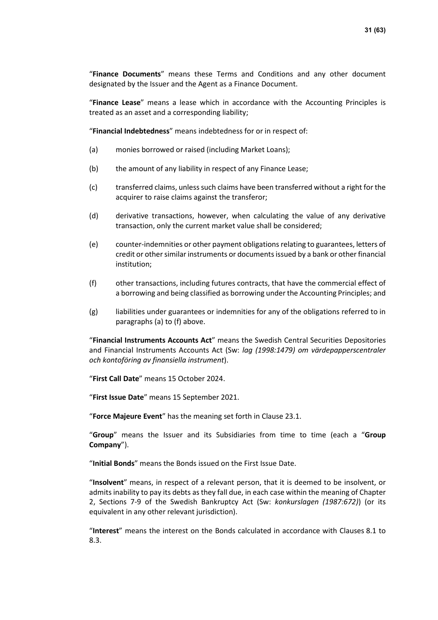"**Finance Documents**" means these Terms and Conditions and any other document designated by the Issuer and the Agent as a Finance Document.

"**Finance Lease**" means a lease which in accordance with the Accounting Principles is treated as an asset and a corresponding liability;

"**Financial Indebtedness**" means indebtedness for or in respect of:

- <span id="page-30-0"></span>(a) monies borrowed or raised (including Market Loans);
- (b) the amount of any liability in respect of any Finance Lease;
- (c) transferred claims, unless such claims have been transferred without a right for the acquirer to raise claims against the transferor;
- (d) derivative transactions, however, when calculating the value of any derivative transaction, only the current market value shall be considered;
- (e) counter-indemnities or other payment obligations relating to guarantees, letters of credit or other similar instruments or documents issued by a bank or other financial institution;
- <span id="page-30-1"></span>(f) other transactions, including futures contracts, that have the commercial effect of a borrowing and being classified as borrowing under the Accounting Principles; and
- (g) liabilities under guarantees or indemnities for any of the obligations referred to in paragraphs [\(a\)](#page-30-0) t[o \(f\)](#page-30-1) above.

"**Financial Instruments Accounts Act**" means the Swedish Central Securities Depositories and Financial Instruments Accounts Act (Sw: *lag (1998:1479) om värdepapperscentraler och kontoföring av finansiella instrument*).

"**First Call Date**" means 15 October 2024.

"**First Issue Date**" means 15 September 2021.

"**Force Majeure Event**" has the meaning set forth in Clause [23.1.](#page-58-0)

"**Group**" means the Issuer and its Subsidiaries from time to time (each a "**Group Company**").

"**Initial Bonds**" means the Bonds issued on the First Issue Date.

"**Insolvent**" means, in respect of a relevant person, that it is deemed to be insolvent, or admits inability to pay its debts as they fall due, in each case within the meaning of Chapter 2, Sections 7-9 of the Swedish Bankruptcy Act (Sw: *konkurslagen (1987:672)*) (or its equivalent in any other relevant jurisdiction).

"**Interest**" means the interest on the Bonds calculated in accordance with Clauses [8.1](#page-38-0) to [8.3.](#page-38-1)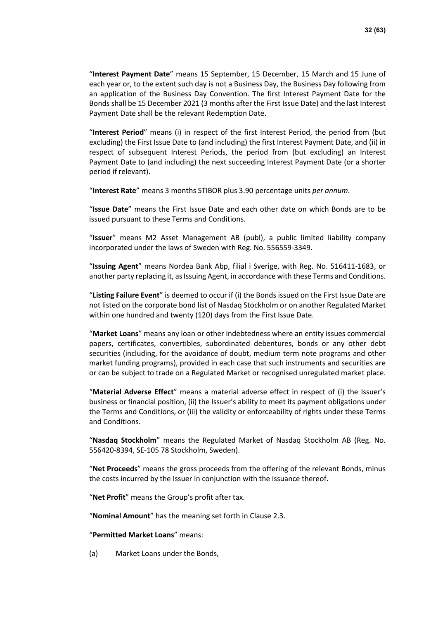"**Interest Payment Date**" means 15 September, 15 December, 15 March and 15 June of each year or, to the extent such day is not a Business Day, the Business Day following from an application of the Business Day Convention. The first Interest Payment Date for the Bonds shall be 15 December 2021 (3 months after the First Issue Date) and the last Interest Payment Date shall be the relevant Redemption Date.

"**Interest Period**" means (i) in respect of the first Interest Period, the period from (but excluding) the First Issue Date to (and including) the first Interest Payment Date, and (ii) in respect of subsequent Interest Periods, the period from (but excluding) an Interest Payment Date to (and including) the next succeeding Interest Payment Date (or a shorter period if relevant).

"**Interest Rate**" means 3 months STIBOR plus 3.90 percentage units *per annum*.

"**Issue Date**" means the First Issue Date and each other date on which Bonds are to be issued pursuant to these Terms and Conditions.

"**Issuer**" means M2 Asset Management AB (publ), a public limited liability company incorporated under the laws of Sweden with Reg. No. 556559-3349.

"**Issuing Agent**" means Nordea Bank Abp, filial i Sverige, with Reg. No. 516411-1683, or another party replacing it, as Issuing Agent, in accordance with these Terms and Conditions.

"**Listing Failure Event**" is deemed to occur if (i) the Bonds issued on the First Issue Date are not listed on the corporate bond list of Nasdaq Stockholm or on another Regulated Market within one hundred and twenty (120) days from the First Issue Date.

"**Market Loans**" means any loan or other indebtedness where an entity issues commercial papers, certificates, convertibles, subordinated debentures, bonds or any other debt securities (including, for the avoidance of doubt, medium term note programs and other market funding programs), provided in each case that such instruments and securities are or can be subject to trade on a Regulated Market or recognised unregulated market place.

"**Material Adverse Effect**" means a material adverse effect in respect of (i) the Issuer's business or financial position, (ii) the Issuer's ability to meet its payment obligations under the Terms and Conditions, or (iii) the validity or enforceability of rights under these Terms and Conditions.

"**Nasdaq Stockholm**" means the Regulated Market of Nasdaq Stockholm AB (Reg. No. 556420-8394, SE-105 78 Stockholm, Sweden).

"**Net Proceeds**" means the gross proceeds from the offering of the relevant Bonds, minus the costs incurred by the Issuer in conjunction with the issuance thereof.

"**Net Profit**" means the Group's profit after tax.

"**Nominal Amount**" has the meaning set forth in Clause [2.3.](#page-34-0)

"**Permitted Market Loans**" means:

(a) Market Loans under the Bonds,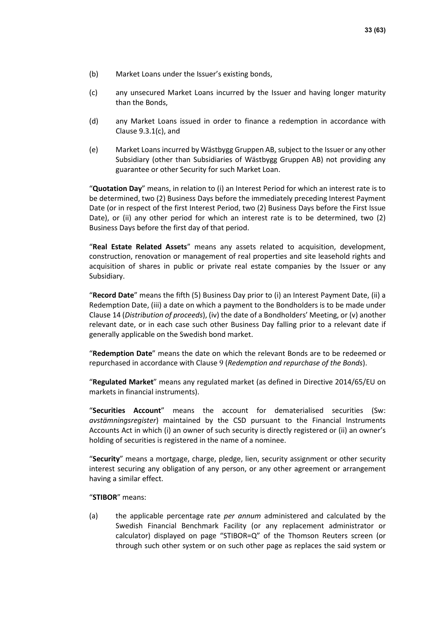- (b) Market Loans under the Issuer's existing bonds,
- (c) any unsecured Market Loans incurred by the Issuer and having longer maturity than the Bonds,
- (d) any Market Loans issued in order to finance a redemption in accordance with Clause [9.3.1](#page-38-2)[\(c\),](#page-39-0) and
- (e) Market Loans incurred by Wästbygg Gruppen AB, subject to the Issuer or any other Subsidiary (other than Subsidiaries of Wästbygg Gruppen AB) not providing any guarantee or other Security for such Market Loan.

"**Quotation Day**" means, in relation to (i) an Interest Period for which an interest rate is to be determined, two (2) Business Days before the immediately preceding Interest Payment Date (or in respect of the first Interest Period, two (2) Business Days before the First Issue Date), or (ii) any other period for which an interest rate is to be determined, two (2) Business Days before the first day of that period.

"**Real Estate Related Assets**" means any assets related to acquisition, development, construction, renovation or management of real properties and site leasehold rights and acquisition of shares in public or private real estate companies by the Issuer or any Subsidiary.

"**Record Date**" means the fifth (5) Business Day prior to (i) an Interest Payment Date, (ii) a Redemption Date, (iii) a date on which a payment to the Bondholders is to be made under Clause [14](#page-46-0) (*Distribution of proceeds*), (iv) the date of a Bondholders' Meeting, or (v) another relevant date, or in each case such other Business Day falling prior to a relevant date if generally applicable on the Swedish bond market.

"**Redemption Date**" means the date on which the relevant Bonds are to be redeemed or repurchased in accordance with Clause [9](#page-38-3) (*Redemption and repurchase of the Bonds*).

"**Regulated Market**" means any regulated market (as defined in Directive 2014/65/EU on markets in financial instruments).

"**Securities Account**" means the account for dematerialised securities (Sw: *avstämningsregister*) maintained by the CSD pursuant to the Financial Instruments Accounts Act in which (i) an owner of such security is directly registered or (ii) an owner's holding of securities is registered in the name of a nominee.

"**Security**" means a mortgage, charge, pledge, lien, security assignment or other security interest securing any obligation of any person, or any other agreement or arrangement having a similar effect.

"**STIBOR**" means:

<span id="page-32-0"></span>(a) the applicable percentage rate *per annum* administered and calculated by the Swedish Financial Benchmark Facility (or any replacement administrator or calculator) displayed on page "STIBOR=Q" of the Thomson Reuters screen (or through such other system or on such other page as replaces the said system or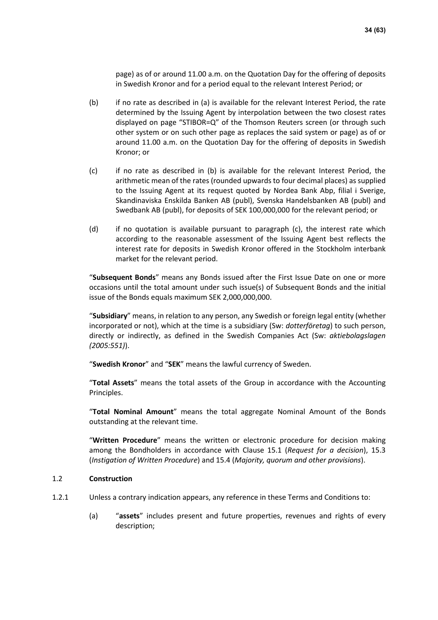page) as of or around 11.00 a.m. on the Quotation Day for the offering of deposits in Swedish Kronor and for a period equal to the relevant Interest Period; or

- <span id="page-33-0"></span>(b) if no rate as described in [\(a\)](#page-32-0) is available for the relevant Interest Period, the rate determined by the Issuing Agent by interpolation between the two closest rates displayed on page "STIBOR=Q" of the Thomson Reuters screen (or through such other system or on such other page as replaces the said system or page) as of or around 11.00 a.m. on the Quotation Day for the offering of deposits in Swedish Kronor; or
- <span id="page-33-1"></span>(c) if no rate as described in [\(b\)](#page-33-0) is available for the relevant Interest Period, the arithmetic mean of the rates (rounded upwards to four decimal places) as supplied to the Issuing Agent at its request quoted by Nordea Bank Abp, filial i Sverige, Skandinaviska Enskilda Banken AB (publ), Svenska Handelsbanken AB (publ) and Swedbank AB (publ), for deposits of SEK 100,000,000 for the relevant period; or
- (d) if no quotation is available pursuant to paragraph [\(c\),](#page-33-1) the interest rate which according to the reasonable assessment of the Issuing Agent best reflects the interest rate for deposits in Swedish Kronor offered in the Stockholm interbank market for the relevant period.

"**Subsequent Bonds**" means any Bonds issued after the First Issue Date on one or more occasions until the total amount under such issue(s) of Subsequent Bonds and the initial issue of the Bonds equals maximum SEK 2,000,000,000.

"**Subsidiary**" means, in relation to any person, any Swedish or foreign legal entity (whether incorporated or not), which at the time is a subsidiary (Sw: *dotterföretag*) to such person, directly or indirectly, as defined in the Swedish Companies Act (Sw: *aktiebolagslagen (2005:551)*).

"**Swedish Kronor**" and "**SEK**" means the lawful currency of Sweden.

"**Total Assets**" means the total assets of the Group in accordance with the Accounting Principles.

"**Total Nominal Amount**" means the total aggregate Nominal Amount of the Bonds outstanding at the relevant time.

"**Written Procedure**" means the written or electronic procedure for decision making among the Bondholders in accordance with Clause [15.1](#page-47-0) (*Request for a decision*), [15.3](#page-48-1) (*Instigation of Written Procedure*) an[d 15.4](#page-49-0) (*Majority, quorum and other provisions*).

### 1.2 **Construction**

- 1.2.1 Unless a contrary indication appears, any reference in these Terms and Conditions to:
	- (a) "**assets**" includes present and future properties, revenues and rights of every description;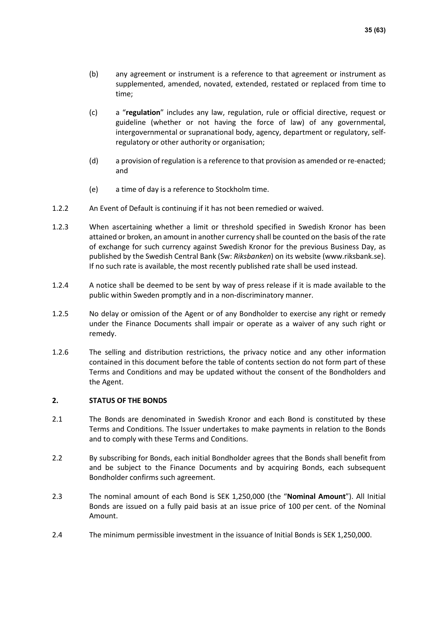- (b) any agreement or instrument is a reference to that agreement or instrument as supplemented, amended, novated, extended, restated or replaced from time to time;
- (c) a "**regulation**" includes any law, regulation, rule or official directive, request or guideline (whether or not having the force of law) of any governmental, intergovernmental or supranational body, agency, department or regulatory, selfregulatory or other authority or organisation;
- (d) a provision of regulation is a reference to that provision as amended or re-enacted; and
- (e) a time of day is a reference to Stockholm time.
- 1.2.2 An Event of Default is continuing if it has not been remedied or waived.
- 1.2.3 When ascertaining whether a limit or threshold specified in Swedish Kronor has been attained or broken, an amount in another currency shall be counted on the basis of the rate of exchange for such currency against Swedish Kronor for the previous Business Day, as published by the Swedish Central Bank (Sw: *Riksbanken*) on its website (www.riksbank.se). If no such rate is available, the most recently published rate shall be used instead.
- 1.2.4 A notice shall be deemed to be sent by way of press release if it is made available to the public within Sweden promptly and in a non-discriminatory manner.
- 1.2.5 No delay or omission of the Agent or of any Bondholder to exercise any right or remedy under the Finance Documents shall impair or operate as a waiver of any such right or remedy.
- 1.2.6 The selling and distribution restrictions, the privacy notice and any other information contained in this document before the table of contents section do not form part of these Terms and Conditions and may be updated without the consent of the Bondholders and the Agent.

### **2. STATUS OF THE BONDS**

- <span id="page-34-1"></span>2.1 The Bonds are denominated in Swedish Kronor and each Bond is constituted by these Terms and Conditions. The Issuer undertakes to make payments in relation to the Bonds and to comply with these Terms and Conditions.
- 2.2 By subscribing for Bonds, each initial Bondholder agrees that the Bonds shall benefit from and be subject to the Finance Documents and by acquiring Bonds, each subsequent Bondholder confirms such agreement.
- <span id="page-34-0"></span>2.3 The nominal amount of each Bond is SEK 1,250,000 (the "**Nominal Amount**"). All Initial Bonds are issued on a fully paid basis at an issue price of 100 per cent. of the Nominal Amount.
- 2.4 The minimum permissible investment in the issuance of Initial Bonds is SEK 1,250,000.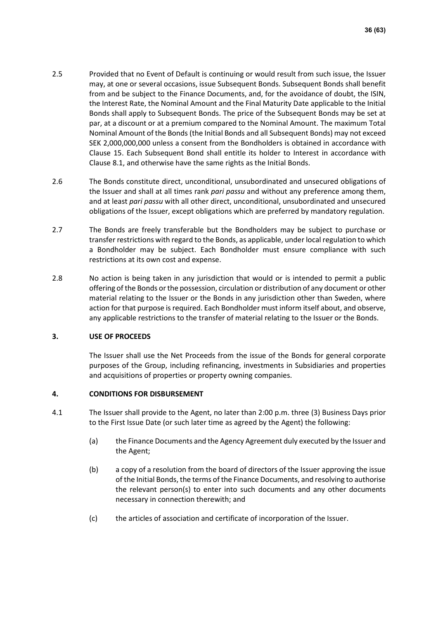- 2.5 Provided that no Event of Default is continuing or would result from such issue, the Issuer may, at one or several occasions, issue Subsequent Bonds. Subsequent Bonds shall benefit from and be subject to the Finance Documents, and, for the avoidance of doubt, the ISIN, the Interest Rate, the Nominal Amount and the Final Maturity Date applicable to the Initial Bonds shall apply to Subsequent Bonds. The price of the Subsequent Bonds may be set at par, at a discount or at a premium compared to the Nominal Amount. The maximum Total Nominal Amount of the Bonds (the Initial Bonds and all Subsequent Bonds) may not exceed SEK 2,000,000,000 unless a consent from the Bondholders is obtained in accordance with Clause [15.](#page-47-1) Each Subsequent Bond shall entitle its holder to Interest in accordance with Clause [8.1,](#page-38-0) and otherwise have the same rights as the Initial Bonds.
- <span id="page-35-1"></span>2.6 The Bonds constitute direct, unconditional, unsubordinated and unsecured obligations of the Issuer and shall at all times rank *pari passu* and without any preference among them, and at least *pari passu* with all other direct, unconditional, unsubordinated and unsecured obligations of the Issuer, except obligations which are preferred by mandatory regulation.
- 2.7 The Bonds are freely transferable but the Bondholders may be subject to purchase or transfer restrictions with regard to the Bonds, as applicable, under local regulation to which a Bondholder may be subject. Each Bondholder must ensure compliance with such restrictions at its own cost and expense.
- <span id="page-35-2"></span>2.8 No action is being taken in any jurisdiction that would or is intended to permit a public offering of the Bonds or the possession, circulation or distribution of any document or other material relating to the Issuer or the Bonds in any jurisdiction other than Sweden, where action for that purpose is required. Each Bondholder must inform itself about, and observe, any applicable restrictions to the transfer of material relating to the Issuer or the Bonds.

### **3. USE OF PROCEEDS**

The Issuer shall use the Net Proceeds from the issue of the Bonds for general corporate purposes of the Group, including refinancing, investments in Subsidiaries and properties and acquisitions of properties or property owning companies.

### **4. CONDITIONS FOR DISBURSEMENT**

- <span id="page-35-0"></span>4.1 The Issuer shall provide to the Agent, no later than 2:00 p.m. three (3) Business Days prior to the First Issue Date (or such later time as agreed by the Agent) the following:
	- (a) the Finance Documents and the Agency Agreement duly executed by the Issuer and the Agent;
	- (b) a copy of a resolution from the board of directors of the Issuer approving the issue of the Initial Bonds, the terms of the Finance Documents, and resolving to authorise the relevant person(s) to enter into such documents and any other documents necessary in connection therewith; and
	- (c) the articles of association and certificate of incorporation of the Issuer.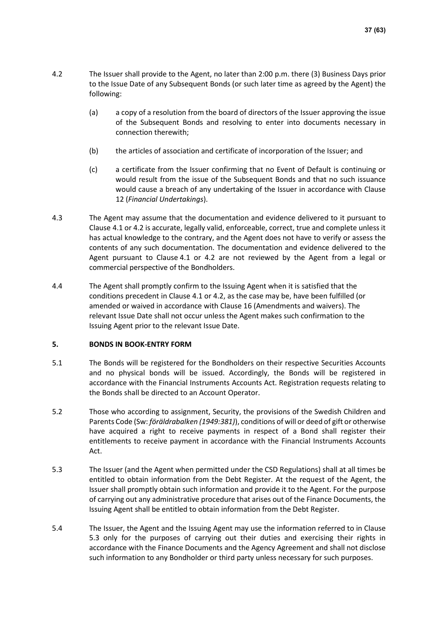- <span id="page-36-0"></span>4.2 The Issuer shall provide to the Agent, no later than 2:00 p.m. there (3) Business Days prior to the Issue Date of any Subsequent Bonds (or such later time as agreed by the Agent) the following:
	- (a) a copy of a resolution from the board of directors of the Issuer approving the issue of the Subsequent Bonds and resolving to enter into documents necessary in connection therewith;
	- (b) the articles of association and certificate of incorporation of the Issuer; and
	- (c) a certificate from the Issuer confirming that no Event of Default is continuing or would result from the issue of the Subsequent Bonds and that no such issuance would cause a breach of any undertaking of the Issuer in accordance with Clause [12](#page-43-0) (*Financial Undertakings*).
- 4.3 The Agent may assume that the documentation and evidence delivered to it pursuant to Clause [4.1](#page-35-0) o[r 4.2](#page-36-0) is accurate, legally valid, enforceable, correct, true and complete unless it has actual knowledge to the contrary, and the Agent does not have to verify or assess the contents of any such documentation. The documentation and evidence delivered to the Agent pursuant to Clause [4.1](#page-35-0) or [4.2](#page-36-0) are not reviewed by the Agent from a legal or commercial perspective of the Bondholders.
- 4.4 The Agent shall promptly confirm to the Issuing Agent when it is satisfied that the conditions precedent in Clause [4.1](#page-35-0) or [4.2,](#page-36-0) as the case may be, have been fulfilled (or amended or waived in accordance with Clause [16](#page-52-0) (Amendments and waivers). The relevant Issue Date shall not occur unless the Agent makes such confirmation to the Issuing Agent prior to the relevant Issue Date.

### **5. BONDS IN BOOK-ENTRY FORM**

- 5.1 The Bonds will be registered for the Bondholders on their respective Securities Accounts and no physical bonds will be issued. Accordingly, the Bonds will be registered in accordance with the Financial Instruments Accounts Act. Registration requests relating to the Bonds shall be directed to an Account Operator.
- 5.2 Those who according to assignment, Security, the provisions of the Swedish Children and Parents Code (Sw: *föräldrabalken (1949:381)*), conditions of will or deed of gift or otherwise have acquired a right to receive payments in respect of a Bond shall register their entitlements to receive payment in accordance with the Financial Instruments Accounts Act.
- <span id="page-36-1"></span>5.3 The Issuer (and the Agent when permitted under the CSD Regulations) shall at all times be entitled to obtain information from the Debt Register. At the request of the Agent, the Issuer shall promptly obtain such information and provide it to the Agent. For the purpose of carrying out any administrative procedure that arises out of the Finance Documents, the Issuing Agent shall be entitled to obtain information from the Debt Register.
- 5.4 The Issuer, the Agent and the Issuing Agent may use the information referred to in Clause [5.3](#page-36-1) only for the purposes of carrying out their duties and exercising their rights in accordance with the Finance Documents and the Agency Agreement and shall not disclose such information to any Bondholder or third party unless necessary for such purposes.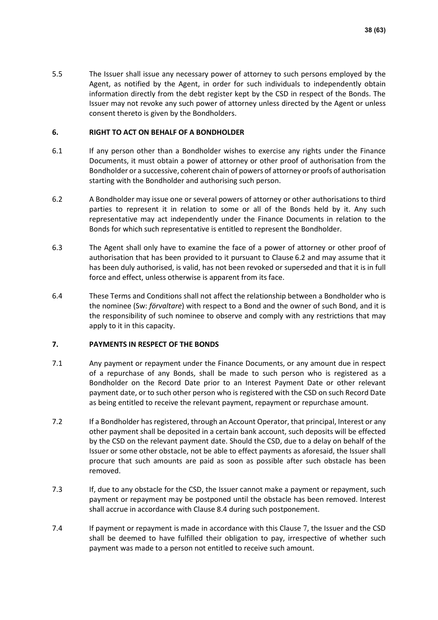5.5 The Issuer shall issue any necessary power of attorney to such persons employed by the Agent, as notified by the Agent, in order for such individuals to independently obtain information directly from the debt register kept by the CSD in respect of the Bonds. The Issuer may not revoke any such power of attorney unless directed by the Agent or unless consent thereto is given by the Bondholders.

### <span id="page-37-3"></span>**6. RIGHT TO ACT ON BEHALF OF A BONDHOLDER**

- 6.1 If any person other than a Bondholder wishes to exercise any rights under the Finance Documents, it must obtain a power of attorney or other proof of authorisation from the Bondholder or a successive, coherent chain of powers of attorney or proofs of authorisation starting with the Bondholder and authorising such person.
- <span id="page-37-0"></span>6.2 A Bondholder may issue one or several powers of attorney or other authorisations to third parties to represent it in relation to some or all of the Bonds held by it. Any such representative may act independently under the Finance Documents in relation to the Bonds for which such representative is entitled to represent the Bondholder.
- 6.3 The Agent shall only have to examine the face of a power of attorney or other proof of authorisation that has been provided to it pursuant to Clause [6.2](#page-37-0) and may assume that it has been duly authorised, is valid, has not been revoked or superseded and that it is in full force and effect, unless otherwise is apparent from its face.
- 6.4 These Terms and Conditions shall not affect the relationship between a Bondholder who is the nominee (Sw: *förvaltare*) with respect to a Bond and the owner of such Bond, and it is the responsibility of such nominee to observe and comply with any restrictions that may apply to it in this capacity.

### <span id="page-37-1"></span>**7. PAYMENTS IN RESPECT OF THE BONDS**

- <span id="page-37-2"></span>7.1 Any payment or repayment under the Finance Documents, or any amount due in respect of a repurchase of any Bonds, shall be made to such person who is registered as a Bondholder on the Record Date prior to an Interest Payment Date or other relevant payment date, or to such other person who is registered with the CSD on such Record Date as being entitled to receive the relevant payment, repayment or repurchase amount.
- 7.2 If a Bondholder has registered, through an Account Operator, that principal, Interest or any other payment shall be deposited in a certain bank account, such deposits will be effected by the CSD on the relevant payment date. Should the CSD, due to a delay on behalf of the Issuer or some other obstacle, not be able to effect payments as aforesaid, the Issuer shall procure that such amounts are paid as soon as possible after such obstacle has been removed.
- 7.3 If, due to any obstacle for the CSD, the Issuer cannot make a payment or repayment, such payment or repayment may be postponed until the obstacle has been removed. Interest shall accrue in accordance with Clause [8.4](#page-38-4) during such postponement.
- [7](#page-37-1).4 If payment or repayment is made in accordance with this Clause 7, the Issuer and the CSD shall be deemed to have fulfilled their obligation to pay, irrespective of whether such payment was made to a person not entitled to receive such amount.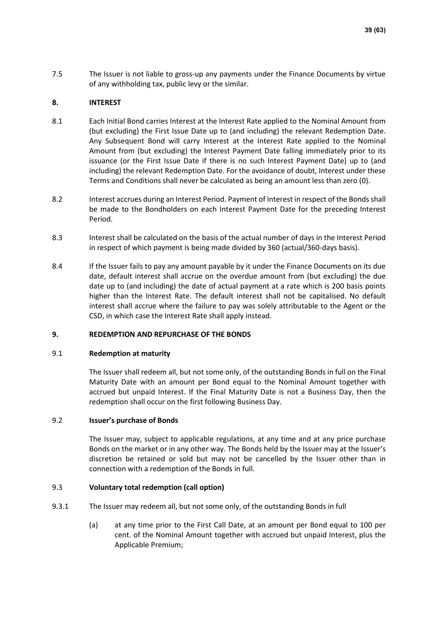7.5 The Issuer is not liable to gross-up any payments under the Finance Documents by virtue of any withholding tax, public levy or the similar.

### **8. INTEREST**

- <span id="page-38-0"></span>8.1 Each Initial Bond carries Interest at the Interest Rate applied to the Nominal Amount from (but excluding) the First Issue Date up to (and including) the relevant Redemption Date. Any Subsequent Bond will carry Interest at the Interest Rate applied to the Nominal Amount from (but excluding) the Interest Payment Date falling immediately prior to its issuance (or the First Issue Date if there is no such Interest Payment Date) up to (and including) the relevant Redemption Date. For the avoidance of doubt, Interest under these Terms and Conditions shall never be calculated as being an amount less than zero (0).
- 8.2 Interest accrues during an Interest Period. Payment of Interest in respect of the Bonds shall be made to the Bondholders on each Interest Payment Date for the preceding Interest Period.
- <span id="page-38-1"></span>8.3 Interest shall be calculated on the basis of the actual number of days in the Interest Period in respect of which payment is being made divided by 360 (actual/360-days basis).
- <span id="page-38-4"></span>8.4 If the Issuer fails to pay any amount payable by it under the Finance Documents on its due date, default interest shall accrue on the overdue amount from (but excluding) the due date up to (and including) the date of actual payment at a rate which is 200 basis points higher than the Interest Rate. The default interest shall not be capitalised. No default interest shall accrue where the failure to pay was solely attributable to the Agent or the CSD, in which case the Interest Rate shall apply instead.

### <span id="page-38-3"></span>**9. REDEMPTION AND REPURCHASE OF THE BONDS**

### 9.1 **Redemption at maturity**

The Issuer shall redeem all, but not some only, of the outstanding Bonds in full on the Final Maturity Date with an amount per Bond equal to the Nominal Amount together with accrued but unpaid Interest. If the Final Maturity Date is not a Business Day, then the redemption shall occur on the first following Business Day.

### 9.2 **Issuer's purchase of Bonds**

The Issuer may, subject to applicable regulations, at any time and at any price purchase Bonds on the market or in any other way. The Bonds held by the Issuer may at the Issuer's discretion be retained or sold but may not be cancelled by the Issuer other than in connection with a redemption of the Bonds in full.

### 9.3 **Voluntary total redemption (call option)**

- <span id="page-38-2"></span>9.3.1 The Issuer may redeem all, but not some only, of the outstanding Bonds in full
	- (a) at any time prior to the First Call Date, at an amount per Bond equal to 100 per cent. of the Nominal Amount together with accrued but unpaid Interest, plus the Applicable Premium;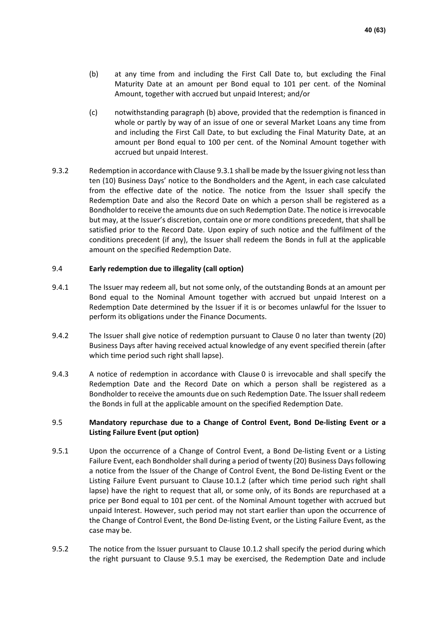- (b) at any time from and including the First Call Date to, but excluding the Final Maturity Date at an amount per Bond equal to 101 per cent. of the Nominal Amount, together with accrued but unpaid Interest; and/or
- <span id="page-39-0"></span>(c) notwithstanding paragraph (b) above, provided that the redemption is financed in whole or partly by way of an issue of one or several Market Loans any time from and including the First Call Date, to but excluding the Final Maturity Date, at an amount per Bond equal to 100 per cent. of the Nominal Amount together with accrued but unpaid Interest.
- <span id="page-39-3"></span>9.3.2 Redemption in accordance with Clause [9.3.1](#page-38-2) shall be made by the Issuer giving not less than ten (10) Business Days' notice to the Bondholders and the Agent, in each case calculated from the effective date of the notice. The notice from the Issuer shall specify the Redemption Date and also the Record Date on which a person shall be registered as a Bondholder to receive the amounts due on such Redemption Date. The notice is irrevocable but may, at the Issuer's discretion, contain one or more conditions precedent, that shall be satisfied prior to the Record Date. Upon expiry of such notice and the fulfilment of the conditions precedent (if any), the Issuer shall redeem the Bonds in full at the applicable amount on the specified Redemption Date.

### 9.4 **Early redemption due to illegality (call option)**

- 9.4.1 The Issuer may redeem all, but not some only, of the outstanding Bonds at an amount per Bond equal to the Nominal Amount together with accrued but unpaid Interest on a Redemption Date determined by the Issuer if it is or becomes unlawful for the Issuer to perform its obligations under the Finance Documents.
- <span id="page-39-4"></span>9.4.2 The Issuer shall give notice of redemption pursuant to Clause [0](#page-14-0) no later than twenty (20) Business Days after having received actual knowledge of any event specified therein (after which time period such right shall lapse).
- 9.4.3 A notice of redemption in accordance with Clause [0](#page-14-0) is irrevocable and shall specify the Redemption Date and the Record Date on which a person shall be registered as a Bondholder to receive the amounts due on such Redemption Date. The Issuer shall redeem the Bonds in full at the applicable amount on the specified Redemption Date.

### <span id="page-39-2"></span>9.5 **Mandatory repurchase due to a Change of Control Event, Bond De-listing Event or a Listing Failure Event (put option)**

- <span id="page-39-1"></span>9.5.1 Upon the occurrence of a Change of Control Event, a Bond De-listing Event or a Listing Failure Event, each Bondholder shall during a period of twenty (20) Business Days following a notice from the Issuer of the Change of Control Event, the Bond De-listing Event or the Listing Failure Event pursuant to Clause [10.1.2](#page-40-0) (after which time period such right shall lapse) have the right to request that all, or some only, of its Bonds are repurchased at a price per Bond equal to 101 per cent. of the Nominal Amount together with accrued but unpaid Interest. However, such period may not start earlier than upon the occurrence of the Change of Control Event, the Bond De-listing Event, or the Listing Failure Event, as the case may be.
- 9.5.2 The notice from the Issuer pursuant to Clause [10.1.2](#page-40-0) shall specify the period during which the right pursuant to Clause [9.5.1](#page-39-1) may be exercised, the Redemption Date and include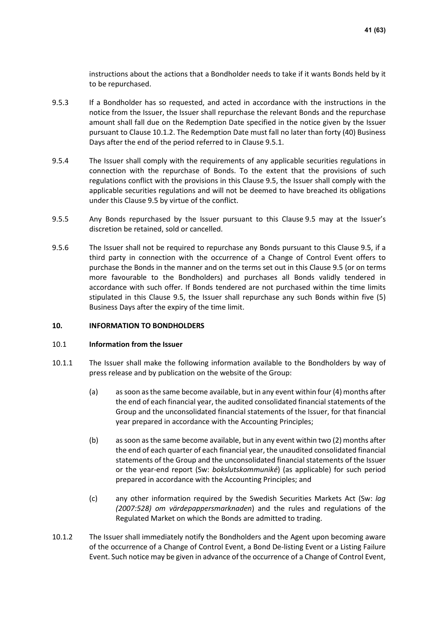instructions about the actions that a Bondholder needs to take if it wants Bonds held by it to be repurchased.

- 9.5.3 If a Bondholder has so requested, and acted in accordance with the instructions in the notice from the Issuer, the Issuer shall repurchase the relevant Bonds and the repurchase amount shall fall due on the Redemption Date specified in the notice given by the Issuer pursuant to Clause [10.1.2.](#page-40-0) The Redemption Date must fall no later than forty (40) Business Days after the end of the period referred to in Clause [9.5.1.](#page-39-1)
- 9.5.4 The Issuer shall comply with the requirements of any applicable securities regulations in connection with the repurchase of Bonds. To the extent that the provisions of such regulations conflict with the provisions in this Clause [9.5,](#page-39-2) the Issuer shall comply with the applicable securities regulations and will not be deemed to have breached its obligations under this Clause [9.5](#page-39-2) by virtue of the conflict.
- 9.5.5 Any Bonds repurchased by the Issuer pursuant to this Clause [9.5](#page-39-2) may at the Issuer's discretion be retained, sold or cancelled.
- 9.5.6 The Issuer shall not be required to repurchase any Bonds pursuant to this Clause [9.5,](#page-39-2) if a third party in connection with the occurrence of a Change of Control Event offers to purchase the Bonds in the manner and on the terms set out in this Clause [9.5](#page-39-2) (or on terms more favourable to the Bondholders) and purchases all Bonds validly tendered in accordance with such offer. If Bonds tendered are not purchased within the time limits stipulated in this Clause [9.5,](#page-39-2) the Issuer shall repurchase any such Bonds within five (5) Business Days after the expiry of the time limit.

### **10. INFORMATION TO BONDHOLDERS**

### 10.1 **Information from the Issuer**

- <span id="page-40-1"></span>10.1.1 The Issuer shall make the following information available to the Bondholders by way of press release and by publication on the website of the Group:
	- (a) as soon as the same become available, but in any event within four (4) months after the end of each financial year, the audited consolidated financial statements of the Group and the unconsolidated financial statements of the Issuer, for that financial year prepared in accordance with the Accounting Principles;
	- (b) as soon as the same become available, but in any event within two (2) months after the end of each quarter of each financial year, the unaudited consolidated financial statements of the Group and the unconsolidated financial statements of the Issuer or the year-end report (Sw: *bokslutskommuniké*) (as applicable) for such period prepared in accordance with the Accounting Principles; and
	- (c) any other information required by the Swedish Securities Markets Act (Sw: *lag (2007:528) om värdepappersmarknaden*) and the rules and regulations of the Regulated Market on which the Bonds are admitted to trading.
- <span id="page-40-0"></span>10.1.2 The Issuer shall immediately notify the Bondholders and the Agent upon becoming aware of the occurrence of a Change of Control Event, a Bond De-listing Event or a Listing Failure Event. Such notice may be given in advance of the occurrence of a Change of Control Event,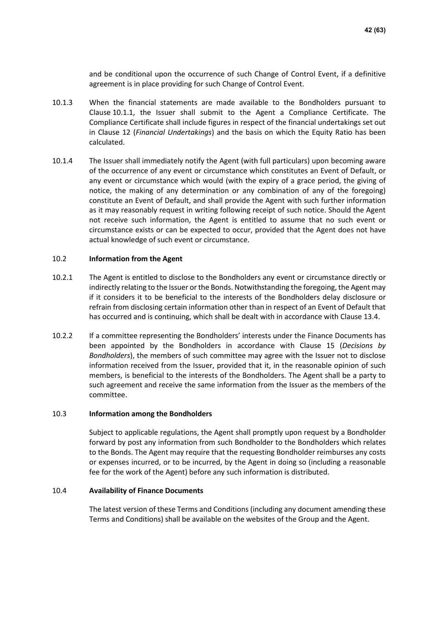and be conditional upon the occurrence of such Change of Control Event, if a definitive agreement is in place providing for such Change of Control Event.

- <span id="page-41-0"></span>10.1.3 When the financial statements are made available to the Bondholders pursuant to Clause [10.1.1,](#page-40-1) the Issuer shall submit to the Agent a Compliance Certificate. The Compliance Certificate shall include figures in respect of the financial undertakings set out in Clause [12](#page-43-0) (*Financial Undertakings*) and the basis on which the Equity Ratio has been calculated.
- 10.1.4 The Issuer shall immediately notify the Agent (with full particulars) upon becoming aware of the occurrence of any event or circumstance which constitutes an Event of Default, or any event or circumstance which would (with the expiry of a grace period, the giving of notice, the making of any determination or any combination of any of the foregoing) constitute an Event of Default, and shall provide the Agent with such further information as it may reasonably request in writing following receipt of such notice. Should the Agent not receive such information, the Agent is entitled to assume that no such event or circumstance exists or can be expected to occur, provided that the Agent does not have actual knowledge of such event or circumstance.

### 10.2 **Information from the Agent**

- 10.2.1 The Agent is entitled to disclose to the Bondholders any event or circumstance directly or indirectly relating to the Issuer or the Bonds. Notwithstanding the foregoing, the Agent may if it considers it to be beneficial to the interests of the Bondholders delay disclosure or refrain from disclosing certain information other than in respect of an Event of Default that has occurred and is continuing, which shall be dealt with in accordance with Clause [13.4.](#page-45-0)
- 10.2.2 If a committee representing the Bondholders' interests under the Finance Documents has been appointed by the Bondholders in accordance with Clause [15](#page-47-1) (*Decisions by Bondholders*), the members of such committee may agree with the Issuer not to disclose information received from the Issuer, provided that it, in the reasonable opinion of such members, is beneficial to the interests of the Bondholders. The Agent shall be a party to such agreement and receive the same information from the Issuer as the members of the committee.

#### 10.3 **Information among the Bondholders**

Subject to applicable regulations, the Agent shall promptly upon request by a Bondholder forward by post any information from such Bondholder to the Bondholders which relates to the Bonds. The Agent may require that the requesting Bondholder reimburses any costs or expenses incurred, or to be incurred, by the Agent in doing so (including a reasonable fee for the work of the Agent) before any such information is distributed.

### <span id="page-41-1"></span>10.4 **Availability of Finance Documents**

The latest version of these Terms and Conditions (including any document amending these Terms and Conditions) shall be available on the websites of the Group and the Agent.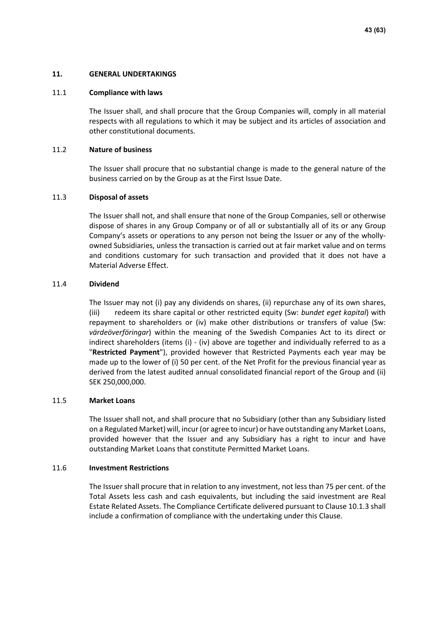### **11. GENERAL UNDERTAKINGS**

#### 11.1 **Compliance with laws**

The Issuer shall, and shall procure that the Group Companies will, comply in all material respects with all regulations to which it may be subject and its articles of association and other constitutional documents.

### 11.2 **Nature of business**

The Issuer shall procure that no substantial change is made to the general nature of the business carried on by the Group as at the First Issue Date.

### 11.3 **Disposal of assets**

The Issuer shall not, and shall ensure that none of the Group Companies, sell or otherwise dispose of shares in any Group Company or of all or substantially all of its or any Group Company's assets or operations to any person not being the Issuer or any of the whollyowned Subsidiaries, unless the transaction is carried out at fair market value and on terms and conditions customary for such transaction and provided that it does not have a Material Adverse Effect.

### 11.4 **Dividend**

The Issuer may not (i) pay any dividends on shares, (ii) repurchase any of its own shares, (iii) redeem its share capital or other restricted equity (Sw: *bundet eget kapital*) with repayment to shareholders or (iv) make other distributions or transfers of value (Sw: *värdeöverföringar*) within the meaning of the Swedish Companies Act to its direct or indirect shareholders (items (i) - (iv) above are together and individually referred to as a "**Restricted Payment**"), provided however that Restricted Payments each year may be made up to the lower of (i) 50 per cent. of the Net Profit for the previous financial year as derived from the latest audited annual consolidated financial report of the Group and (ii) SEK 250,000,000.

#### 11.5 **Market Loans**

The Issuer shall not, and shall procure that no Subsidiary (other than any Subsidiary listed on a Regulated Market) will, incur (or agree to incur) or have outstanding any Market Loans, provided however that the Issuer and any Subsidiary has a right to incur and have outstanding Market Loans that constitute Permitted Market Loans.

### <span id="page-42-0"></span>11.6 **Investment Restrictions**

The Issuer shall procure that in relation to any investment, not less than 75 per cent. of the Total Assets less cash and cash equivalents, but including the said investment are Real Estate Related Assets. The Compliance Certificate delivered pursuant to Clause [10.1.3](#page-41-0) shall include a confirmation of compliance with the undertaking under this Clause.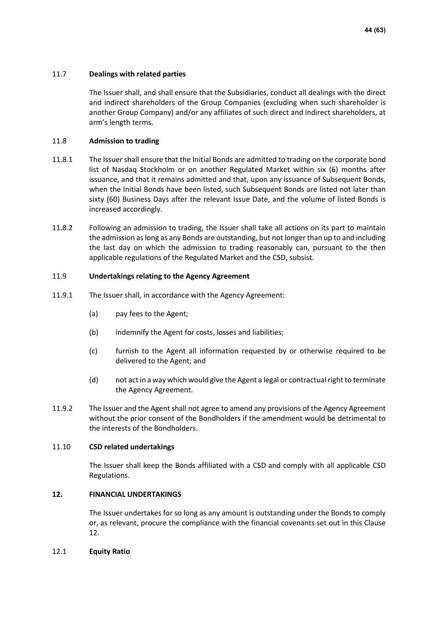### 11.7 **Dealings with related parties**

The Issuer shall, and shall ensure that the Subsidiaries, conduct all dealings with the direct and indirect shareholders of the Group Companies (excluding when such shareholder is another Group Company) and/or any affiliates of such direct and indirect shareholders, at arm's length terms.

### 11.8 **Admission to trading**

- 11.8.1 The Issuer shall ensure that the Initial Bonds are admitted to trading on the corporate bond list of Nasdaq Stockholm or on another Regulated Market within six (6) months after issuance, and that it remains admitted and that, upon any issuance of Subsequent Bonds, when the Initial Bonds have been listed, such Subsequent Bonds are listed not later than sixty (60) Business Days after the relevant Issue Date, and the volume of listed Bonds is increased accordingly.
- 11.8.2 Following an admission to trading, the Issuer shall take all actions on its part to maintain the admission as long as any Bonds are outstanding, but not longer than up to and including the last day on which the admission to trading reasonably can, pursuant to the then applicable regulations of the Regulated Market and the CSD, subsist.

### 11.9 **Undertakings relating to the Agency Agreement**

- 11.9.1 The Issuer shall, in accordance with the Agency Agreement:
	- (a) pay fees to the Agent;
	- (b) indemnify the Agent for costs, losses and liabilities;
	- (c) furnish to the Agent all information requested by or otherwise required to be delivered to the Agent; and
	- (d) not act in a way which would give the Agent a legal or contractual right to terminate the Agency Agreement.
- 11.9.2 The Issuer and the Agent shall not agree to amend any provisions of the Agency Agreement without the prior consent of the Bondholders if the amendment would be detrimental to the interests of the Bondholders.

### 11.10 **CSD related undertakings**

The Issuer shall keep the Bonds affiliated with a CSD and comply with all applicable CSD Regulations.

### <span id="page-43-0"></span>**12. FINANCIAL UNDERTAKINGS**

The Issuer undertakes for so long as any amount is outstanding under the Bonds to comply or, as relevant, procure the compliance with the financial covenants set out in this Clause [12.](#page-43-0)

### 12.1 **Equity Ratio**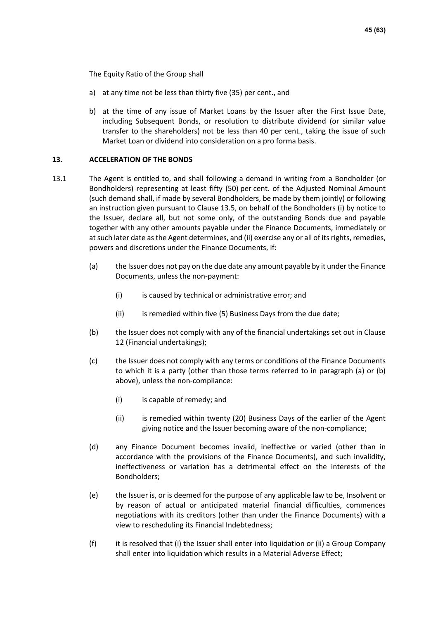The Equity Ratio of the Group shall

- a) at any time not be less than thirty five (35) per cent., and
- b) at the time of any issue of Market Loans by the Issuer after the First Issue Date, including Subsequent Bonds, or resolution to distribute dividend (or similar value transfer to the shareholders) not be less than 40 per cent., taking the issue of such Market Loan or dividend into consideration on a pro forma basis.

### <span id="page-44-1"></span>**13. ACCELERATION OF THE BONDS**

- <span id="page-44-0"></span>13.1 The Agent is entitled to, and shall following a demand in writing from a Bondholder (or Bondholders) representing at least fifty (50) per cent. of the Adjusted Nominal Amount (such demand shall, if made by several Bondholders, be made by them jointly) or following an instruction given pursuant to Clause [13.5,](#page-46-1) on behalf of the Bondholders (i) by notice to the Issuer, declare all, but not some only, of the outstanding Bonds due and payable together with any other amounts payable under the Finance Documents, immediately or at such later date as the Agent determines, and (ii) exercise any or all of its rights, remedies, powers and discretions under the Finance Documents, if:
	- (a) the Issuer does not pay on the due date any amount payable by it under the Finance Documents, unless the non-payment:
		- (i) is caused by technical or administrative error; and
		- (ii) is remedied within five (5) Business Days from the due date;
	- (b) the Issuer does not comply with any of the financial undertakings set out in Clause [12](#page-43-0) (Financial undertakings);
	- (c) the Issuer does not comply with any terms or conditions of the Finance Documents to which it is a party (other than those terms referred to in paragraph (a) or (b) above), unless the non-compliance:
		- (i) is capable of remedy; and
		- (ii) is remedied within twenty (20) Business Days of the earlier of the Agent giving notice and the Issuer becoming aware of the non-compliance;
	- (d) any Finance Document becomes invalid, ineffective or varied (other than in accordance with the provisions of the Finance Documents), and such invalidity, ineffectiveness or variation has a detrimental effect on the interests of the Bondholders;
	- (e) the Issuer is, or is deemed for the purpose of any applicable law to be, Insolvent or by reason of actual or anticipated material financial difficulties, commences negotiations with its creditors (other than under the Finance Documents) with a view to rescheduling its Financial Indebtedness;
	- (f) it is resolved that (i) the Issuer shall enter into liquidation or (ii) a Group Company shall enter into liquidation which results in a Material Adverse Effect: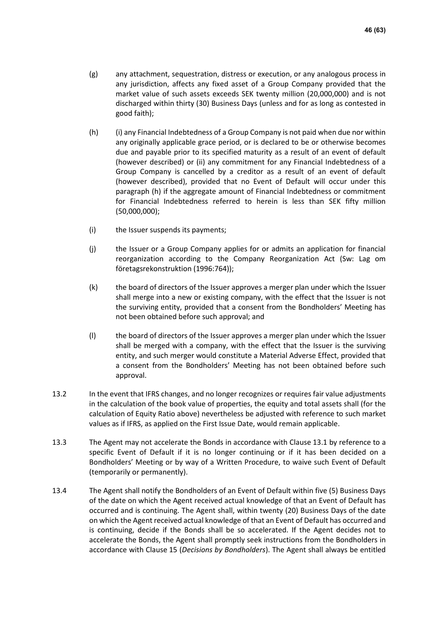- (g) any attachment, sequestration, distress or execution, or any analogous process in any jurisdiction, affects any fixed asset of a Group Company provided that the market value of such assets exceeds SEK twenty million (20,000,000) and is not discharged within thirty (30) Business Days (unless and for as long as contested in good faith);
- <span id="page-45-1"></span>(h) (i) any Financial Indebtedness of a Group Company is not paid when due nor within any originally applicable grace period, or is declared to be or otherwise becomes due and payable prior to its specified maturity as a result of an event of default (however described) or (ii) any commitment for any Financial Indebtedness of a Group Company is cancelled by a creditor as a result of an event of default (however described), provided that no Event of Default will occur under this paragraph [\(h\)](#page-45-1) if the aggregate amount of Financial Indebtedness or commitment for Financial Indebtedness referred to herein is less than SEK fifty million (50,000,000);
- (i) the Issuer suspends its payments;
- (j) the Issuer or a Group Company applies for or admits an application for financial reorganization according to the Company Reorganization Act (Sw: Lag om företagsrekonstruktion (1996:764));
- (k) the board of directors of the Issuer approves a merger plan under which the Issuer shall merge into a new or existing company, with the effect that the Issuer is not the surviving entity, provided that a consent from the Bondholders' Meeting has not been obtained before such approval; and
- (l) the board of directors of the Issuer approves a merger plan under which the Issuer shall be merged with a company, with the effect that the Issuer is the surviving entity, and such merger would constitute a Material Adverse Effect, provided that a consent from the Bondholders' Meeting has not been obtained before such approval.
- 13.2 In the event that IFRS changes, and no longer recognizes or requires fair value adjustments in the calculation of the book value of properties, the equity and total assets shall (for the calculation of Equity Ratio above) nevertheless be adjusted with reference to such market values as if IFRS, as applied on the First Issue Date, would remain applicable.
- 13.3 The Agent may not accelerate the Bonds in accordance with Clause [13.1](#page-44-0) by reference to a specific Event of Default if it is no longer continuing or if it has been decided on a Bondholders' Meeting or by way of a Written Procedure, to waive such Event of Default (temporarily or permanently).
- <span id="page-45-0"></span>13.4 The Agent shall notify the Bondholders of an Event of Default within five (5) Business Days of the date on which the Agent received actual knowledge of that an Event of Default has occurred and is continuing. The Agent shall, within twenty (20) Business Days of the date on which the Agent received actual knowledge of that an Event of Default has occurred and is continuing, decide if the Bonds shall be so accelerated. If the Agent decides not to accelerate the Bonds, the Agent shall promptly seek instructions from the Bondholders in accordance with Clause [15](#page-47-1) (*Decisions by Bondholders*). The Agent shall always be entitled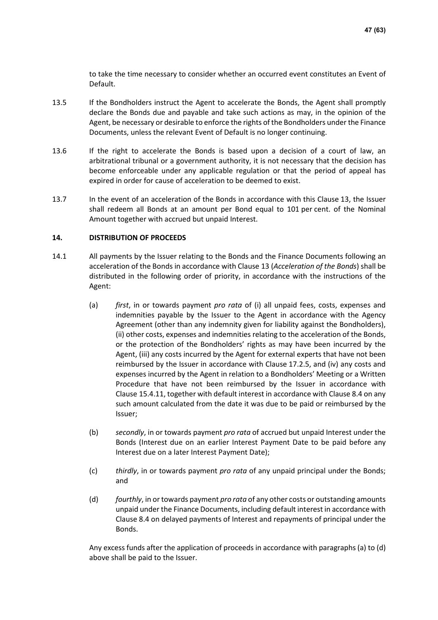to take the time necessary to consider whether an occurred event constitutes an Event of Default.

- <span id="page-46-1"></span>13.5 If the Bondholders instruct the Agent to accelerate the Bonds, the Agent shall promptly declare the Bonds due and payable and take such actions as may, in the opinion of the Agent, be necessary or desirable to enforce the rights of the Bondholders under the Finance Documents, unless the relevant Event of Default is no longer continuing.
- 13.6 If the right to accelerate the Bonds is based upon a decision of a court of law, an arbitrational tribunal or a government authority, it is not necessary that the decision has become enforceable under any applicable regulation or that the period of appeal has expired in order for cause of acceleration to be deemed to exist.
- 13.7 In the event of an acceleration of the Bonds in accordance with this Clause [13,](#page-44-1) the Issuer shall redeem all Bonds at an amount per Bond equal to 101 per cent. of the Nominal Amount together with accrued but unpaid Interest.

### <span id="page-46-0"></span>**14. DISTRIBUTION OF PROCEEDS**

- <span id="page-46-4"></span><span id="page-46-3"></span>14.1 All payments by the Issuer relating to the Bonds and the Finance Documents following an acceleration of the Bonds in accordance with Clause [13](#page-44-1) (*Acceleration of the Bonds*) shall be distributed in the following order of priority, in accordance with the instructions of the Agent:
	- (a) *first*, in or towards payment *pro rata* of (i) all unpaid fees, costs, expenses and indemnities payable by the Issuer to the Agent in accordance with the Agency Agreement (other than any indemnity given for liability against the Bondholders), (ii) other costs, expenses and indemnities relating to the acceleration of the Bonds, or the protection of the Bondholders' rights as may have been incurred by the Agent, (iii) any costs incurred by the Agent for external experts that have not been reimbursed by the Issuer in accordance with Clause [17.2.5,](#page-53-0) and (iv) any costs and expenses incurred by the Agent in relation to a Bondholders' Meeting or a Written Procedure that have not been reimbursed by the Issuer in accordance with Clause [15.4.11,](#page-51-0) together with default interest in accordance with Claus[e 8.4](#page-38-4) on any such amount calculated from the date it was due to be paid or reimbursed by the Issuer;
	- (b) *secondly*, in or towards payment *pro rata* of accrued but unpaid Interest under the Bonds (Interest due on an earlier Interest Payment Date to be paid before any Interest due on a later Interest Payment Date);
	- (c) *thirdly*, in or towards payment *pro rata* of any unpaid principal under the Bonds; and
	- (d) *fourthly*, in or towards payment *pro rata* of any other costs or outstanding amounts unpaid under the Finance Documents, including default interest in accordance with Clause [8.4](#page-38-4) on delayed payments of Interest and repayments of principal under the Bonds.

<span id="page-46-2"></span>Any excess funds after the application of proceeds in accordance with paragraphs (a) to [\(d\)](#page-46-2) above shall be paid to the Issuer.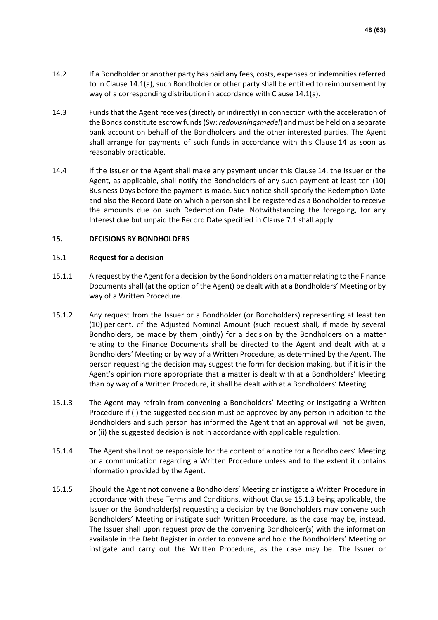- 14.2 If a Bondholder or another party has paid any fees, costs, expenses or indemnities referred to in Clause [14.1](#page-46-3)[\(a\),](#page-46-4) such Bondholder or other party shall be entitled to reimbursement by way of a corresponding distribution in accordance with Clause [14.1](#page-46-3)[\(a\).](#page-46-4)
- 14.3 Funds that the Agent receives (directly or indirectly) in connection with the acceleration of the Bonds constitute escrow funds (Sw: *redovisningsmedel*) and must be held on a separate bank account on behalf of the Bondholders and the other interested parties. The Agent shall arrange for payments of such funds in accordance with this Clause [14](#page-46-0) as soon as reasonably practicable.
- 14.4 If the Issuer or the Agent shall make any payment under this Clause [14,](#page-46-0) the Issuer or the Agent, as applicable, shall notify the Bondholders of any such payment at least ten (10) Business Days before the payment is made. Such notice shall specify the Redemption Date and also the Record Date on which a person shall be registered as a Bondholder to receive the amounts due on such Redemption Date. Notwithstanding the foregoing, for any Interest due but unpaid the Record Date specified in Clause [7.1](#page-37-2) shall apply.

### <span id="page-47-1"></span>**15. DECISIONS BY BONDHOLDERS**

### <span id="page-47-0"></span>15.1 **Request for a decision**

- 15.1.1 A request by the Agent for a decision by the Bondholders on a matter relating to the Finance Documents shall (at the option of the Agent) be dealt with at a Bondholders' Meeting or by way of a Written Procedure.
- 15.1.2 Any request from the Issuer or a Bondholder (or Bondholders) representing at least ten (10) per cent. of the Adjusted Nominal Amount (such request shall, if made by several Bondholders, be made by them jointly) for a decision by the Bondholders on a matter relating to the Finance Documents shall be directed to the Agent and dealt with at a Bondholders' Meeting or by way of a Written Procedure, as determined by the Agent. The person requesting the decision may suggest the form for decision making, but if it is in the Agent's opinion more appropriate that a matter is dealt with at a Bondholders' Meeting than by way of a Written Procedure, it shall be dealt with at a Bondholders' Meeting.
- <span id="page-47-2"></span>15.1.3 The Agent may refrain from convening a Bondholders' Meeting or instigating a Written Procedure if (i) the suggested decision must be approved by any person in addition to the Bondholders and such person has informed the Agent that an approval will not be given, or (ii) the suggested decision is not in accordance with applicable regulation.
- 15.1.4 The Agent shall not be responsible for the content of a notice for a Bondholders' Meeting or a communication regarding a Written Procedure unless and to the extent it contains information provided by the Agent.
- <span id="page-47-3"></span>15.1.5 Should the Agent not convene a Bondholders' Meeting or instigate a Written Procedure in accordance with these Terms and Conditions, without Clause [15.1.3](#page-47-2) being applicable, the Issuer or the Bondholder(s) requesting a decision by the Bondholders may convene such Bondholders' Meeting or instigate such Written Procedure, as the case may be, instead. The Issuer shall upon request provide the convening Bondholder(s) with the information available in the Debt Register in order to convene and hold the Bondholders' Meeting or instigate and carry out the Written Procedure, as the case may be. The Issuer or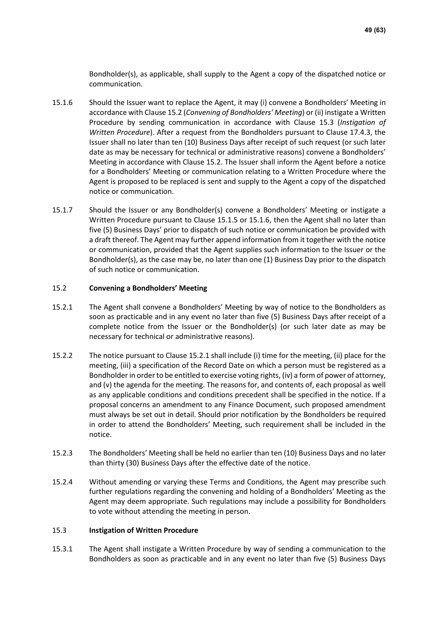Bondholder(s), as applicable, shall supply to the Agent a copy of the dispatched notice or communication.

- <span id="page-48-2"></span>15.1.6 Should the Issuer want to replace the Agent, it may (i) convene a Bondholders' Meeting in accordance with Clause [15.2](#page-48-0) (*Convening of Bondholders' Meeting*) or (ii) instigate a Written Procedure by sending communication in accordance with Clause [15.3](#page-48-1) (*Instigation of Written Procedure*). After a request from the Bondholders pursuant to Clause [17.4.3,](#page-55-0) the Issuer shall no later than ten (10) Business Days after receipt of such request (or such later date as may be necessary for technical or administrative reasons) convene a Bondholders' Meeting in accordance with Clause [15.2.](#page-48-0) The Issuer shall inform the Agent before a notice for a Bondholders' Meeting or communication relating to a Written Procedure where the Agent is proposed to be replaced is sent and supply to the Agent a copy of the dispatched notice or communication.
- 15.1.7 Should the Issuer or any Bondholder(s) convene a Bondholders' Meeting or instigate a Written Procedure pursuant to Clause [15.1.5](#page-47-3) or [15.1.6,](#page-48-2) then the Agent shall no later than five (5) Business Days' prior to dispatch of such notice or communication be provided with a draft thereof. The Agent may further append information from it together with the notice or communication, provided that the Agent supplies such information to the Issuer or the Bondholder(s), as the case may be, no later than one (1) Business Day prior to the dispatch of such notice or communication.

### <span id="page-48-0"></span>15.2 **Convening a Bondholders' Meeting**

- <span id="page-48-3"></span>15.2.1 The Agent shall convene a Bondholders' Meeting by way of notice to the Bondholders as soon as practicable and in any event no later than five (5) Business Days after receipt of a complete notice from the Issuer or the Bondholder(s) (or such later date as may be necessary for technical or administrative reasons).
- <span id="page-48-5"></span>15.2.2 The notice pursuant to Claus[e 15.2.1](#page-48-3) shall include (i) time for the meeting, (ii) place for the meeting, (iii) a specification of the Record Date on which a person must be registered as a Bondholder in order to be entitled to exercise voting rights, (iv) a form of power of attorney, and (v) the agenda for the meeting. The reasons for, and contents of, each proposal as well as any applicable conditions and conditions precedent shall be specified in the notice. If a proposal concerns an amendment to any Finance Document, such proposed amendment must always be set out in detail. Should prior notification by the Bondholders be required in order to attend the Bondholders' Meeting, such requirement shall be included in the notice.
- 15.2.3 The Bondholders' Meeting shall be held no earlier than ten (10) Business Days and no later than thirty (30) Business Days after the effective date of the notice.
- <span id="page-48-6"></span>15.2.4 Without amending or varying these Terms and Conditions, the Agent may prescribe such further regulations regarding the convening and holding of a Bondholders' Meeting as the Agent may deem appropriate. Such regulations may include a possibility for Bondholders to vote without attending the meeting in person.

### <span id="page-48-1"></span>15.3 **Instigation of Written Procedure**

<span id="page-48-4"></span>15.3.1 The Agent shall instigate a Written Procedure by way of sending a communication to the Bondholders as soon as practicable and in any event no later than five (5) Business Days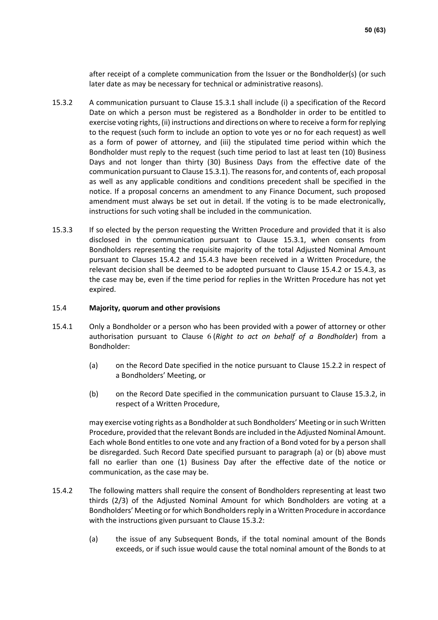after receipt of a complete communication from the Issuer or the Bondholder(s) (or such later date as may be necessary for technical or administrative reasons).

- <span id="page-49-2"></span>15.3.2 A communication pursuant to Clause [15.3.1](#page-48-4) shall include (i) a specification of the Record Date on which a person must be registered as a Bondholder in order to be entitled to exercise voting rights, (ii) instructions and directions on where to receive a form for replying to the request (such form to include an option to vote yes or no for each request) as well as a form of power of attorney, and (iii) the stipulated time period within which the Bondholder must reply to the request (such time period to last at least ten (10) Business Days and not longer than thirty (30) Business Days from the effective date of the communication pursuant to Claus[e 15.3.1\)](#page-48-4). The reasons for, and contents of, each proposal as well as any applicable conditions and conditions precedent shall be specified in the notice. If a proposal concerns an amendment to any Finance Document, such proposed amendment must always be set out in detail. If the voting is to be made electronically, instructions for such voting shall be included in the communication.
- 15.3.3 If so elected by the person requesting the Written Procedure and provided that it is also disclosed in the communication pursuant to Clause [15.3.1,](#page-48-4) when consents from Bondholders representing the requisite majority of the total Adjusted Nominal Amount pursuant to Clauses [15.4.2](#page-49-1) and [15.4.3](#page-50-0) have been received in a Written Procedure, the relevant decision shall be deemed to be adopted pursuant to Clause [15.4.2](#page-49-1) or [15.4.3,](#page-50-0) as the case may be, even if the time period for replies in the Written Procedure has not yet expired.

### <span id="page-49-0"></span>15.4 **Majority, quorum and other provisions**

- <span id="page-49-5"></span><span id="page-49-3"></span>15.4.1 Only a Bondholder or a person who has been provided with a power of attorney or other authorisation pursuant to Clause [6](#page-37-3) (*Right to act on behalf of a Bondholder*) from a Bondholder:
	- (a) on the Record Date specified in the notice pursuant to Clause [15.2.2](#page-48-5) in respect of a Bondholders' Meeting, or
	- (b) on the Record Date specified in the communication pursuant to Clause [15.3.2,](#page-49-2) in respect of a Written Procedure,

<span id="page-49-4"></span>may exercise voting rights as a Bondholder at such Bondholders' Meeting or in such Written Procedure, provided that the relevant Bonds are included in the Adjusted Nominal Amount. Each whole Bond entitles to one vote and any fraction of a Bond voted for by a person shall be disregarded. Such Record Date specified pursuant to paragraph [\(a\)](#page-49-3) or [\(b\)](#page-49-4) above must fall no earlier than one (1) Business Day after the effective date of the notice or communication, as the case may be.

- <span id="page-49-1"></span>15.4.2 The following matters shall require the consent of Bondholders representing at least two thirds (2/3) of the Adjusted Nominal Amount for which Bondholders are voting at a Bondholders' Meeting or for which Bondholders reply in a Written Procedure in accordance with the instructions given pursuant to Clause [15.3.2:](#page-49-2)
	- (a) the issue of any Subsequent Bonds, if the total nominal amount of the Bonds exceeds, or if such issue would cause the total nominal amount of the Bonds to at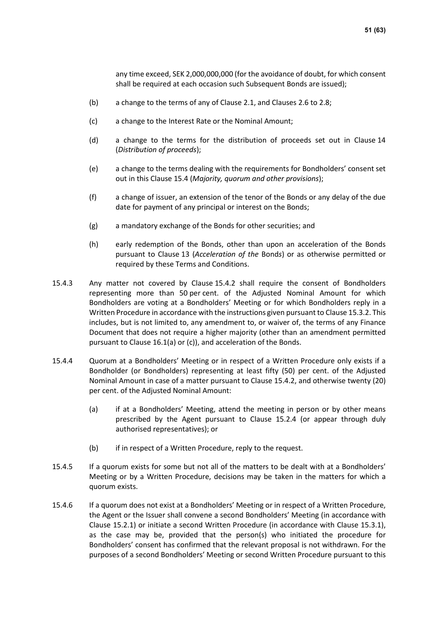any time exceed, SEK 2,000,000,000 (for the avoidance of doubt, for which consent shall be required at each occasion such Subsequent Bonds are issued);

- (b) a change to the terms of any of Clause [2.1,](#page-34-1) and Clauses [2.6](#page-35-1) to [2.8;](#page-35-2)
- (c) a change to the Interest Rate or the Nominal Amount;
- (d) a change to the terms for the distribution of proceeds set out in Clause [14](#page-46-0) (*Distribution of proceeds*);
- (e) a change to the terms dealing with the requirements for Bondholders' consent set out in this Clause [15.4](#page-49-0) (*Majority, quorum and other provisions*);
- (f) a change of issuer, an extension of the tenor of the Bonds or any delay of the due date for payment of any principal or interest on the Bonds;
- (g) a mandatory exchange of the Bonds for other securities; and
- (h) early redemption of the Bonds, other than upon an acceleration of the Bonds pursuant to Clause [13](#page-44-1) (*Acceleration of the* Bond*s*) or as otherwise permitted or required by these Terms and Conditions.
- <span id="page-50-0"></span>15.4.3 Any matter not covered by Clause [15.4.2](#page-49-1) shall require the consent of Bondholders representing more than 50 per cent. of the Adjusted Nominal Amount for which Bondholders are voting at a Bondholders' Meeting or for which Bondholders reply in a Written Procedure in accordance with the instructions given pursuant to Clause [15.3.2.](#page-49-2) This includes, but is not limited to, any amendment to, or waiver of, the terms of any Finance Document that does not require a higher majority (other than an amendment permitted pursuant to Clause [16.1](#page-52-1)[\(a\)](#page-52-2) or [\(c\)\)](#page-52-3), and acceleration of the Bonds.
- <span id="page-50-2"></span>15.4.4 Quorum at a Bondholders' Meeting or in respect of a Written Procedure only exists if a Bondholder (or Bondholders) representing at least fifty (50) per cent. of the Adjusted Nominal Amount in case of a matter pursuant to Clause [15.4.2,](#page-49-1) and otherwise twenty (20) per cent. of the Adjusted Nominal Amount:
	- (a) if at a Bondholders' Meeting, attend the meeting in person or by other means prescribed by the Agent pursuant to Clause [15.2.4](#page-48-6) (or appear through duly authorised representatives); or
	- (b) if in respect of a Written Procedure, reply to the request.
- 15.4.5 If a quorum exists for some but not all of the matters to be dealt with at a Bondholders' Meeting or by a Written Procedure, decisions may be taken in the matters for which a quorum exists.
- <span id="page-50-1"></span>15.4.6 If a quorum does not exist at a Bondholders' Meeting or in respect of a Written Procedure, the Agent or the Issuer shall convene a second Bondholders' Meeting (in accordance with Clause [15.2.1\)](#page-48-3) or initiate a second Written Procedure (in accordance with Clause [15.3.1\)](#page-48-4), as the case may be, provided that the person(s) who initiated the procedure for Bondholders' consent has confirmed that the relevant proposal is not withdrawn. For the purposes of a second Bondholders' Meeting or second Written Procedure pursuant to this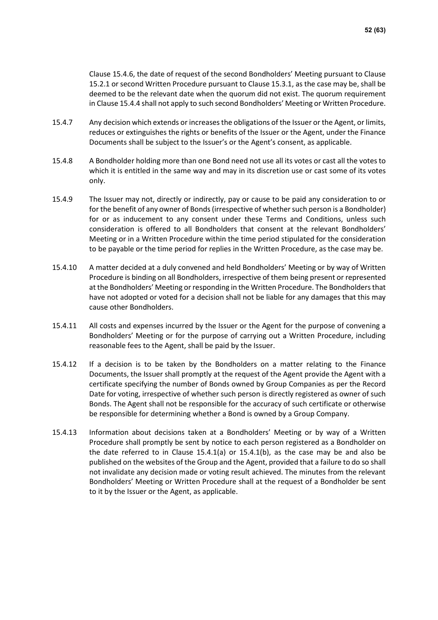Clause [15.4.6,](#page-50-1) the date of request of the second Bondholders' Meeting pursuant to Clause [15.2.1](#page-48-3) or second Written Procedure pursuant to Clause [15.3.1,](#page-48-4) as the case may be, shall be deemed to be the relevant date when the quorum did not exist. The quorum requirement in Clause [15.4.4](#page-50-2) shall not apply to such second Bondholders' Meeting or Written Procedure.

- 15.4.7 Any decision which extends or increases the obligations of the Issuer or the Agent, or limits, reduces or extinguishes the rights or benefits of the Issuer or the Agent, under the Finance Documents shall be subject to the Issuer's or the Agent's consent, as applicable.
- 15.4.8 A Bondholder holding more than one Bond need not use all its votes or cast all the votes to which it is entitled in the same way and may in its discretion use or cast some of its votes only.
- 15.4.9 The Issuer may not, directly or indirectly, pay or cause to be paid any consideration to or for the benefit of any owner of Bonds (irrespective of whether such person is a Bondholder) for or as inducement to any consent under these Terms and Conditions, unless such consideration is offered to all Bondholders that consent at the relevant Bondholders' Meeting or in a Written Procedure within the time period stipulated for the consideration to be payable or the time period for replies in the Written Procedure, as the case may be.
- 15.4.10 A matter decided at a duly convened and held Bondholders' Meeting or by way of Written Procedure is binding on all Bondholders, irrespective of them being present or represented at the Bondholders' Meeting or responding in the Written Procedure. The Bondholders that have not adopted or voted for a decision shall not be liable for any damages that this may cause other Bondholders.
- <span id="page-51-0"></span>15.4.11 All costs and expenses incurred by the Issuer or the Agent for the purpose of convening a Bondholders' Meeting or for the purpose of carrying out a Written Procedure, including reasonable fees to the Agent, shall be paid by the Issuer.
- 15.4.12 If a decision is to be taken by the Bondholders on a matter relating to the Finance Documents, the Issuer shall promptly at the request of the Agent provide the Agent with a certificate specifying the number of Bonds owned by Group Companies as per the Record Date for voting, irrespective of whether such person is directly registered as owner of such Bonds. The Agent shall not be responsible for the accuracy of such certificate or otherwise be responsible for determining whether a Bond is owned by a Group Company.
- 15.4.13 Information about decisions taken at a Bondholders' Meeting or by way of a Written Procedure shall promptly be sent by notice to each person registered as a Bondholder on the date referred to in Clause [15.4.1](#page-49-5)[\(a\)](#page-49-3) or [15.4.1](#page-49-5)[\(b\),](#page-49-4) as the case may be and also be published on the websites of the Group and the Agent, provided that a failure to do so shall not invalidate any decision made or voting result achieved. The minutes from the relevant Bondholders' Meeting or Written Procedure shall at the request of a Bondholder be sent to it by the Issuer or the Agent, as applicable.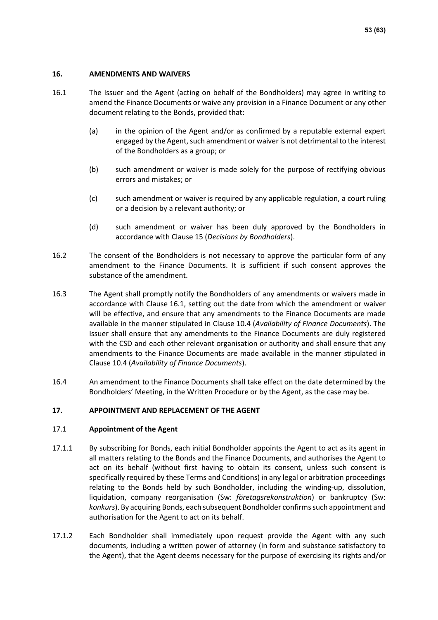### <span id="page-52-0"></span>**16. AMENDMENTS AND WAIVERS**

- <span id="page-52-2"></span><span id="page-52-1"></span>16.1 The Issuer and the Agent (acting on behalf of the Bondholders) may agree in writing to amend the Finance Documents or waive any provision in a Finance Document or any other document relating to the Bonds, provided that:
	- (a) in the opinion of the Agent and/or as confirmed by a reputable external expert engaged by the Agent, such amendment or waiver is not detrimental to the interest of the Bondholders as a group; or
	- (b) such amendment or waiver is made solely for the purpose of rectifying obvious errors and mistakes; or
	- (c) such amendment or waiver is required by any applicable regulation, a court ruling or a decision by a relevant authority; or
	- (d) such amendment or waiver has been duly approved by the Bondholders in accordance with Clause [15](#page-47-1) (*Decisions by Bondholders*).
- <span id="page-52-3"></span>16.2 The consent of the Bondholders is not necessary to approve the particular form of any amendment to the Finance Documents. It is sufficient if such consent approves the substance of the amendment.
- 16.3 The Agent shall promptly notify the Bondholders of any amendments or waivers made in accordance with Clause [16.1,](#page-52-1) setting out the date from which the amendment or waiver will be effective, and ensure that any amendments to the Finance Documents are made available in the manner stipulated in Clause [10.4](#page-41-1) (*Availability of Finance Documents*). The Issuer shall ensure that any amendments to the Finance Documents are duly registered with the CSD and each other relevant organisation or authority and shall ensure that any amendments to the Finance Documents are made available in the manner stipulated in Clause [10.4](#page-41-1) (*Availability of Finance Documents*).
- 16.4 An amendment to the Finance Documents shall take effect on the date determined by the Bondholders' Meeting, in the Written Procedure or by the Agent, as the case may be.

### **17. APPOINTMENT AND REPLACEMENT OF THE AGENT**

### 17.1 **Appointment of the Agent**

- 17.1.1 By subscribing for Bonds, each initial Bondholder appoints the Agent to act as its agent in all matters relating to the Bonds and the Finance Documents, and authorises the Agent to act on its behalf (without first having to obtain its consent, unless such consent is specifically required by these Terms and Conditions) in any legal or arbitration proceedings relating to the Bonds held by such Bondholder, including the winding-up, dissolution, liquidation, company reorganisation (Sw: *företagsrekonstruktion*) or bankruptcy (Sw: *konkurs*). By acquiring Bonds, each subsequent Bondholder confirms such appointment and authorisation for the Agent to act on its behalf.
- <span id="page-52-4"></span>17.1.2 Each Bondholder shall immediately upon request provide the Agent with any such documents, including a written power of attorney (in form and substance satisfactory to the Agent), that the Agent deems necessary for the purpose of exercising its rights and/or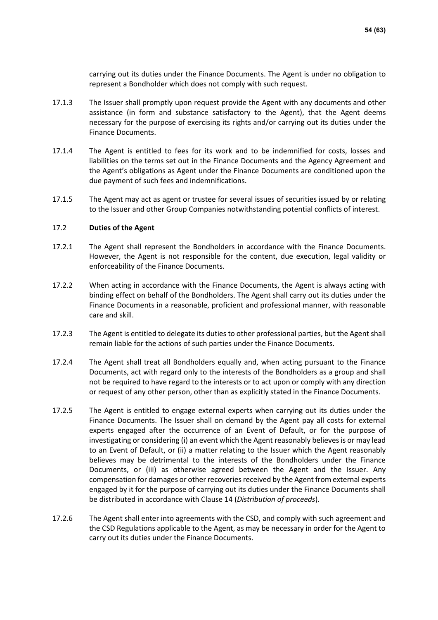carrying out its duties under the Finance Documents. The Agent is under no obligation to represent a Bondholder which does not comply with such request.

- 17.1.3 The Issuer shall promptly upon request provide the Agent with any documents and other assistance (in form and substance satisfactory to the Agent), that the Agent deems necessary for the purpose of exercising its rights and/or carrying out its duties under the Finance Documents.
- 17.1.4 The Agent is entitled to fees for its work and to be indemnified for costs, losses and liabilities on the terms set out in the Finance Documents and the Agency Agreement and the Agent's obligations as Agent under the Finance Documents are conditioned upon the due payment of such fees and indemnifications.
- 17.1.5 The Agent may act as agent or trustee for several issues of securities issued by or relating to the Issuer and other Group Companies notwithstanding potential conflicts of interest.

### 17.2 **Duties of the Agent**

- 17.2.1 The Agent shall represent the Bondholders in accordance with the Finance Documents. However, the Agent is not responsible for the content, due execution, legal validity or enforceability of the Finance Documents.
- 17.2.2 When acting in accordance with the Finance Documents, the Agent is always acting with binding effect on behalf of the Bondholders. The Agent shall carry out its duties under the Finance Documents in a reasonable, proficient and professional manner, with reasonable care and skill.
- 17.2.3 The Agent is entitled to delegate its duties to other professional parties, but the Agent shall remain liable for the actions of such parties under the Finance Documents.
- 17.2.4 The Agent shall treat all Bondholders equally and, when acting pursuant to the Finance Documents, act with regard only to the interests of the Bondholders as a group and shall not be required to have regard to the interests or to act upon or comply with any direction or request of any other person, other than as explicitly stated in the Finance Documents.
- <span id="page-53-0"></span>17.2.5 The Agent is entitled to engage external experts when carrying out its duties under the Finance Documents. The Issuer shall on demand by the Agent pay all costs for external experts engaged after the occurrence of an Event of Default, or for the purpose of investigating or considering (i) an event which the Agent reasonably believes is or may lead to an Event of Default, or (ii) a matter relating to the Issuer which the Agent reasonably believes may be detrimental to the interests of the Bondholders under the Finance Documents, or (iii) as otherwise agreed between the Agent and the Issuer. Any compensation for damages or other recoveries received by the Agent from external experts engaged by it for the purpose of carrying out its duties under the Finance Documents shall be distributed in accordance with Clause [14](#page-46-0) (*Distribution of proceeds*).
- 17.2.6 The Agent shall enter into agreements with the CSD, and comply with such agreement and the CSD Regulations applicable to the Agent, as may be necessary in order for the Agent to carry out its duties under the Finance Documents.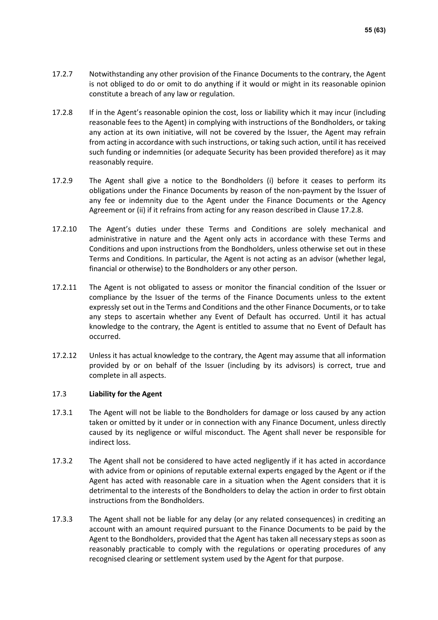- 17.2.7 Notwithstanding any other provision of the Finance Documents to the contrary, the Agent is not obliged to do or omit to do anything if it would or might in its reasonable opinion constitute a breach of any law or regulation.
- <span id="page-54-0"></span>17.2.8 If in the Agent's reasonable opinion the cost, loss or liability which it may incur (including reasonable fees to the Agent) in complying with instructions of the Bondholders, or taking any action at its own initiative, will not be covered by the Issuer, the Agent may refrain from acting in accordance with such instructions, or taking such action, until it has received such funding or indemnities (or adequate Security has been provided therefore) as it may reasonably require.
- <span id="page-54-1"></span>17.2.9 The Agent shall give a notice to the Bondholders (i) before it ceases to perform its obligations under the Finance Documents by reason of the non-payment by the Issuer of any fee or indemnity due to the Agent under the Finance Documents or the Agency Agreement or (ii) if it refrains from acting for any reason described in Clause [17.2.8.](#page-54-0)
- 17.2.10 The Agent's duties under these Terms and Conditions are solely mechanical and administrative in nature and the Agent only acts in accordance with these Terms and Conditions and upon instructions from the Bondholders, unless otherwise set out in these Terms and Conditions. In particular, the Agent is not acting as an advisor (whether legal, financial or otherwise) to the Bondholders or any other person.
- 17.2.11 The Agent is not obligated to assess or monitor the financial condition of the Issuer or compliance by the Issuer of the terms of the Finance Documents unless to the extent expressly set out in the Terms and Conditions and the other Finance Documents, or to take any steps to ascertain whether any Event of Default has occurred. Until it has actual knowledge to the contrary, the Agent is entitled to assume that no Event of Default has occurred.
- 17.2.12 Unless it has actual knowledge to the contrary, the Agent may assume that all information provided by or on behalf of the Issuer (including by its advisors) is correct, true and complete in all aspects.

### 17.3 **Liability for the Agent**

- 17.3.1 The Agent will not be liable to the Bondholders for damage or loss caused by any action taken or omitted by it under or in connection with any Finance Document, unless directly caused by its negligence or wilful misconduct. The Agent shall never be responsible for indirect loss.
- 17.3.2 The Agent shall not be considered to have acted negligently if it has acted in accordance with advice from or opinions of reputable external experts engaged by the Agent or if the Agent has acted with reasonable care in a situation when the Agent considers that it is detrimental to the interests of the Bondholders to delay the action in order to first obtain instructions from the Bondholders.
- 17.3.3 The Agent shall not be liable for any delay (or any related consequences) in crediting an account with an amount required pursuant to the Finance Documents to be paid by the Agent to the Bondholders, provided that the Agent has taken all necessary steps as soon as reasonably practicable to comply with the regulations or operating procedures of any recognised clearing or settlement system used by the Agent for that purpose.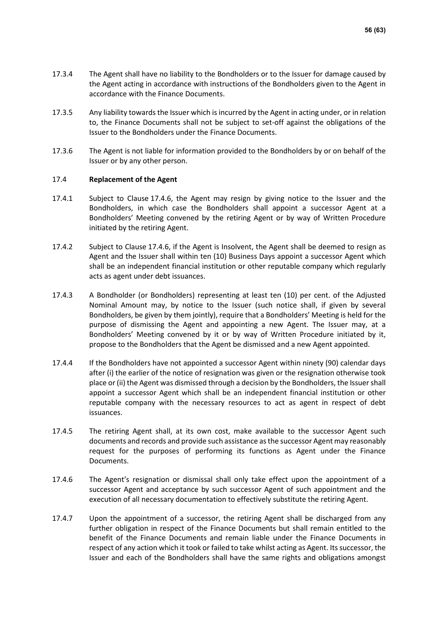- 17.3.4 The Agent shall have no liability to the Bondholders or to the Issuer for damage caused by the Agent acting in accordance with instructions of the Bondholders given to the Agent in accordance with the Finance Documents.
- 17.3.5 Any liability towards the Issuer which is incurred by the Agent in acting under, or in relation to, the Finance Documents shall not be subject to set-off against the obligations of the Issuer to the Bondholders under the Finance Documents.
- 17.3.6 The Agent is not liable for information provided to the Bondholders by or on behalf of the Issuer or by any other person.

### <span id="page-55-2"></span>17.4 **Replacement of the Agent**

- 17.4.1 Subject to Clause [17.4.6,](#page-55-1) the Agent may resign by giving notice to the Issuer and the Bondholders, in which case the Bondholders shall appoint a successor Agent at a Bondholders' Meeting convened by the retiring Agent or by way of Written Procedure initiated by the retiring Agent.
- 17.4.2 Subject to Clause [17.4.6,](#page-55-1) if the Agent is Insolvent, the Agent shall be deemed to resign as Agent and the Issuer shall within ten (10) Business Days appoint a successor Agent which shall be an independent financial institution or other reputable company which regularly acts as agent under debt issuances.
- <span id="page-55-0"></span>17.4.3 A Bondholder (or Bondholders) representing at least ten (10) per cent. of the Adjusted Nominal Amount may, by notice to the Issuer (such notice shall, if given by several Bondholders, be given by them jointly), require that a Bondholders' Meeting is held for the purpose of dismissing the Agent and appointing a new Agent. The Issuer may, at a Bondholders' Meeting convened by it or by way of Written Procedure initiated by it, propose to the Bondholders that the Agent be dismissed and a new Agent appointed.
- 17.4.4 If the Bondholders have not appointed a successor Agent within ninety (90) calendar days after (i) the earlier of the notice of resignation was given or the resignation otherwise took place or (ii) the Agent was dismissed through a decision by the Bondholders, the Issuer shall appoint a successor Agent which shall be an independent financial institution or other reputable company with the necessary resources to act as agent in respect of debt issuances.
- 17.4.5 The retiring Agent shall, at its own cost, make available to the successor Agent such documents and records and provide such assistance as the successor Agent may reasonably request for the purposes of performing its functions as Agent under the Finance Documents.
- <span id="page-55-1"></span>17.4.6 The Agent's resignation or dismissal shall only take effect upon the appointment of a successor Agent and acceptance by such successor Agent of such appointment and the execution of all necessary documentation to effectively substitute the retiring Agent.
- 17.4.7 Upon the appointment of a successor, the retiring Agent shall be discharged from any further obligation in respect of the Finance Documents but shall remain entitled to the benefit of the Finance Documents and remain liable under the Finance Documents in respect of any action which it took or failed to take whilst acting as Agent. Its successor, the Issuer and each of the Bondholders shall have the same rights and obligations amongst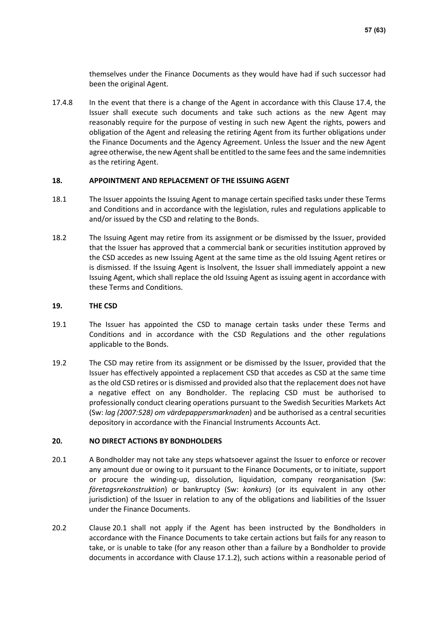themselves under the Finance Documents as they would have had if such successor had been the original Agent.

17.4.8 In the event that there is a change of the Agent in accordance with this Clause [17.4,](#page-55-2) the Issuer shall execute such documents and take such actions as the new Agent may reasonably require for the purpose of vesting in such new Agent the rights, powers and obligation of the Agent and releasing the retiring Agent from its further obligations under the Finance Documents and the Agency Agreement. Unless the Issuer and the new Agent agree otherwise, the new Agent shall be entitled to the same fees and the same indemnities as the retiring Agent.

### **18. APPOINTMENT AND REPLACEMENT OF THE ISSUING AGENT**

- 18.1 The Issuer appoints the Issuing Agent to manage certain specified tasks under these Terms and Conditions and in accordance with the legislation, rules and regulations applicable to and/or issued by the CSD and relating to the Bonds.
- 18.2 The Issuing Agent may retire from its assignment or be dismissed by the Issuer, provided that the Issuer has approved that a commercial bank or securities institution approved by the CSD accedes as new Issuing Agent at the same time as the old Issuing Agent retires or is dismissed. If the Issuing Agent is Insolvent, the Issuer shall immediately appoint a new Issuing Agent, which shall replace the old Issuing Agent as issuing agent in accordance with these Terms and Conditions.

### **19. THE CSD**

- 19.1 The Issuer has appointed the CSD to manage certain tasks under these Terms and Conditions and in accordance with the CSD Regulations and the other regulations applicable to the Bonds.
- 19.2 The CSD may retire from its assignment or be dismissed by the Issuer, provided that the Issuer has effectively appointed a replacement CSD that accedes as CSD at the same time as the old CSD retires or is dismissed and provided also that the replacement does not have a negative effect on any Bondholder. The replacing CSD must be authorised to professionally conduct clearing operations pursuant to the Swedish Securities Markets Act (Sw: *lag (2007:528) om värdepappersmarknaden*) and be authorised as a central securities depository in accordance with the Financial Instruments Accounts Act.

### **20. NO DIRECT ACTIONS BY BONDHOLDERS**

- <span id="page-56-0"></span>20.1 A Bondholder may not take any steps whatsoever against the Issuer to enforce or recover any amount due or owing to it pursuant to the Finance Documents, or to initiate, support or procure the winding-up, dissolution, liquidation, company reorganisation (Sw: *företagsrekonstruktion*) or bankruptcy (Sw: *konkurs*) (or its equivalent in any other jurisdiction) of the Issuer in relation to any of the obligations and liabilities of the Issuer under the Finance Documents.
- 20.2 Clause [20.1](#page-56-0) shall not apply if the Agent has been instructed by the Bondholders in accordance with the Finance Documents to take certain actions but fails for any reason to take, or is unable to take (for any reason other than a failure by a Bondholder to provide documents in accordance with Clause [17.1.2\)](#page-52-4), such actions within a reasonable period of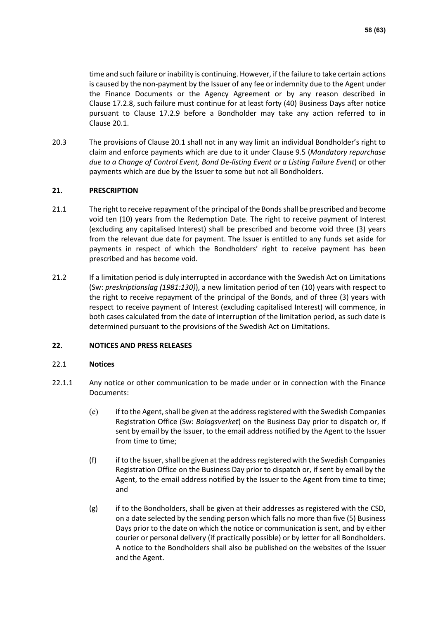time and such failure or inability is continuing. However, if the failure to take certain actions is caused by the non-payment by the Issuer of any fee or indemnity due to the Agent under the Finance Documents or the Agency Agreement or by any reason described in Clause [17.2.8,](#page-54-0) such failure must continue for at least forty (40) Business Days after notice pursuant to Clause [17.2.9](#page-54-1) before a Bondholder may take any action referred to in Clause [20.1.](#page-56-0)

20.3 The provisions of Clause [20.1](#page-56-0) shall not in any way limit an individual Bondholder's right to claim and enforce payments which are due to it under Clause [9.5](#page-39-2) (*Mandatory repurchase due to a Change of Control Event, Bond De-listing Event or a Listing Failure Event*) or other payments which are due by the Issuer to some but not all Bondholders.

### **21. PRESCRIPTION**

- 21.1 The right to receive repayment of the principal of the Bonds shall be prescribed and become void ten (10) years from the Redemption Date. The right to receive payment of Interest (excluding any capitalised Interest) shall be prescribed and become void three (3) years from the relevant due date for payment. The Issuer is entitled to any funds set aside for payments in respect of which the Bondholders' right to receive payment has been prescribed and has become void.
- 21.2 If a limitation period is duly interrupted in accordance with the Swedish Act on Limitations (Sw: *preskriptionslag (1981:130)*), a new limitation period of ten (10) years with respect to the right to receive repayment of the principal of the Bonds, and of three (3) years with respect to receive payment of Interest (excluding capitalised Interest) will commence, in both cases calculated from the date of interruption of the limitation period, as such date is determined pursuant to the provisions of the Swedish Act on Limitations.

### **22. NOTICES AND PRESS RELEASES**

### 22.1 **Notices**

- <span id="page-57-0"></span>22.1.1 Any notice or other communication to be made under or in connection with the Finance Documents:
	- (e) if to the Agent, shall be given at the address registered with the Swedish Companies Registration Office (Sw: *Bolagsverket*) on the Business Day prior to dispatch or, if sent by email by the Issuer, to the email address notified by the Agent to the Issuer from time to time;
	- (f) if to the Issuer, shall be given at the address registered with the Swedish Companies Registration Office on the Business Day prior to dispatch or, if sent by email by the Agent, to the email address notified by the Issuer to the Agent from time to time; and
	- $(g)$  if to the Bondholders, shall be given at their addresses as registered with the CSD, on a date selected by the sending person which falls no more than five (5) Business Days prior to the date on which the notice or communication is sent, and by either courier or personal delivery (if practically possible) or by letter for all Bondholders. A notice to the Bondholders shall also be published on the websites of the Issuer and the Agent.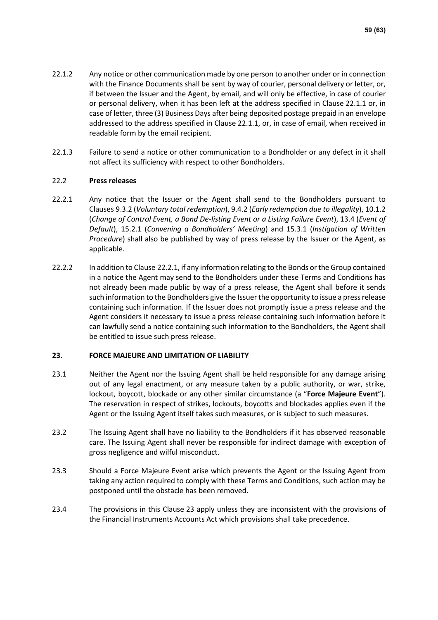- 22.1.2 Any notice or other communication made by one person to another under or in connection with the Finance Documents shall be sent by way of courier, personal delivery or letter, or, if between the Issuer and the Agent, by email, and will only be effective, in case of courier or personal delivery, when it has been left at the address specified in Clause [22.1.1](#page-57-0) or, in case of letter, three (3) Business Days after being deposited postage prepaid in an envelope addressed to the address specified in Clause [22.1.1,](#page-57-0) or, in case of email, when received in readable form by the email recipient.
- 22.1.3 Failure to send a notice or other communication to a Bondholder or any defect in it shall not affect its sufficiency with respect to other Bondholders.

### 22.2 **Press releases**

- <span id="page-58-1"></span>22.2.1 Any notice that the Issuer or the Agent shall send to the Bondholders pursuant to Clauses [9.3.2](#page-39-3) (*Voluntary total redemption*)[, 9.4.2](#page-39-4) (*Early redemption due to illegality*)[, 10.1.2](#page-40-0) (*Change of Control Event, a Bond De-listing Event or a Listing Failure Event*), [13.4](#page-45-0) (*Event of Default*), [15.2.1](#page-48-3) (*Convening a Bondholders' Meeting*) and [15.3.1](#page-48-4) (*Instigation of Written Procedure*) shall also be published by way of press release by the Issuer or the Agent, as applicable.
- 22.2.2 In addition to Clause [22.2.1,](#page-58-1) if any information relating to the Bonds or the Group contained in a notice the Agent may send to the Bondholders under these Terms and Conditions has not already been made public by way of a press release, the Agent shall before it sends such information to the Bondholders give the Issuer the opportunity to issue a press release containing such information. If the Issuer does not promptly issue a press release and the Agent considers it necessary to issue a press release containing such information before it can lawfully send a notice containing such information to the Bondholders, the Agent shall be entitled to issue such press release.

### <span id="page-58-2"></span>**23. FORCE MAJEURE AND LIMITATION OF LIABILITY**

- <span id="page-58-0"></span>23.1 Neither the Agent nor the Issuing Agent shall be held responsible for any damage arising out of any legal enactment, or any measure taken by a public authority, or war, strike, lockout, boycott, blockade or any other similar circumstance (a "**Force Majeure Event**"). The reservation in respect of strikes, lockouts, boycotts and blockades applies even if the Agent or the Issuing Agent itself takes such measures, or is subject to such measures.
- 23.2 The Issuing Agent shall have no liability to the Bondholders if it has observed reasonable care. The Issuing Agent shall never be responsible for indirect damage with exception of gross negligence and wilful misconduct.
- 23.3 Should a Force Majeure Event arise which prevents the Agent or the Issuing Agent from taking any action required to comply with these Terms and Conditions, such action may be postponed until the obstacle has been removed.
- 23.4 The provisions in this Clause [23](#page-58-2) apply unless they are inconsistent with the provisions of the Financial Instruments Accounts Act which provisions shall take precedence.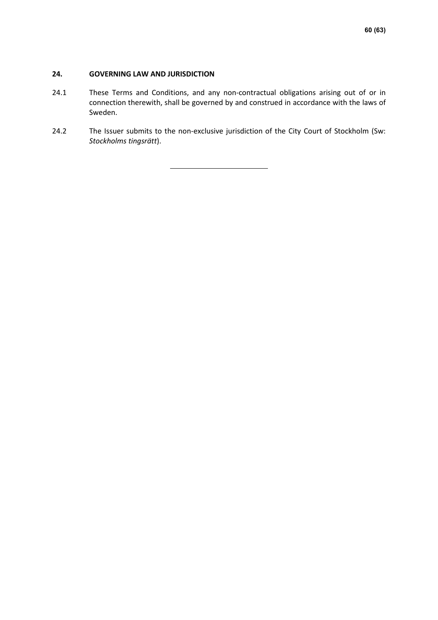### **24. GOVERNING LAW AND JURISDICTION**

- 24.1 These Terms and Conditions, and any non-contractual obligations arising out of or in connection therewith, shall be governed by and construed in accordance with the laws of Sweden.
- 24.2 The Issuer submits to the non-exclusive jurisdiction of the City Court of Stockholm (Sw: *Stockholms tingsrätt*).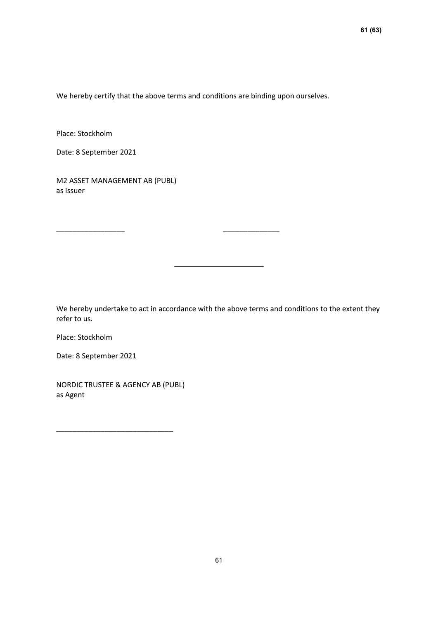We hereby certify that the above terms and conditions are binding upon ourselves.

\_\_\_\_\_\_\_\_\_\_\_\_\_\_\_\_\_ \_\_\_\_\_\_\_\_\_\_\_\_\_\_

Place: Stockholm

Date: 8 September 2021

M2 ASSET MANAGEMENT AB (PUBL) as Issuer

We hereby undertake to act in accordance with the above terms and conditions to the extent they refer to us.

Place: Stockholm

Date: 8 September 2021

NORDIC TRUSTEE & AGENCY AB (PUBL) as Agent

\_\_\_\_\_\_\_\_\_\_\_\_\_\_\_\_\_\_\_\_\_\_\_\_\_\_\_\_\_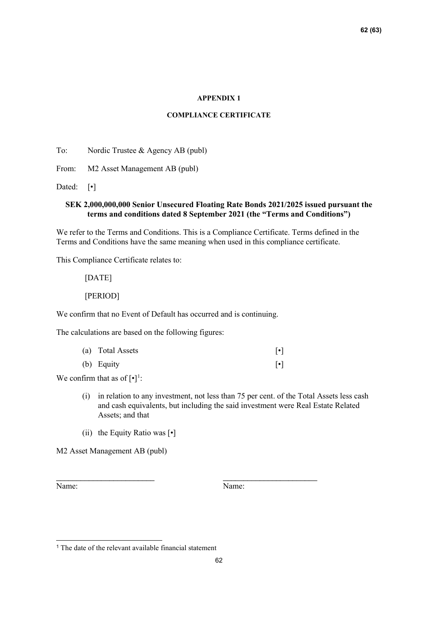#### **APPENDIX 1**

### **COMPLIANCE CERTIFICATE**

To: Nordic Trustee & Agency AB (publ)

From: M2 Asset Management AB (publ)

Dated: [•]

### **SEK 2,000,000,000 Senior Unsecured Floating Rate Bonds 2021/2025 issued pursuant the terms and conditions dated 8 September 2021 (the "Terms and Conditions")**

We refer to the Terms and Conditions. This is a Compliance Certificate. Terms defined in the Terms and Conditions have the same meaning when used in this compliance certificate.

This Compliance Certificate relates to:

[DATE]

[PERIOD]

We confirm that no Event of Default has occurred and is continuing.

The calculations are based on the following figures:

| (a) Total Assets |  |
|------------------|--|
| (b) Equity       |  |

\_\_\_\_\_\_\_\_\_\_\_\_\_\_\_\_\_\_\_\_\_\_\_\_ \_\_\_\_\_\_\_\_\_\_\_\_\_\_\_\_\_\_\_\_\_\_\_

We confirm that as of  $[\cdot]$ <sup>[1](#page-61-0)</sup>:

- (i) in relation to any investment, not less than 75 per cent. of the Total Assets less cash and cash equivalents, but including the said investment were Real Estate Related Assets; and that
- (ii) the Equity Ratio was [•]

M2 Asset Management AB (publ)

Name: Name:

<span id="page-61-0"></span><sup>&</sup>lt;sup>1</sup> The date of the relevant available financial statement